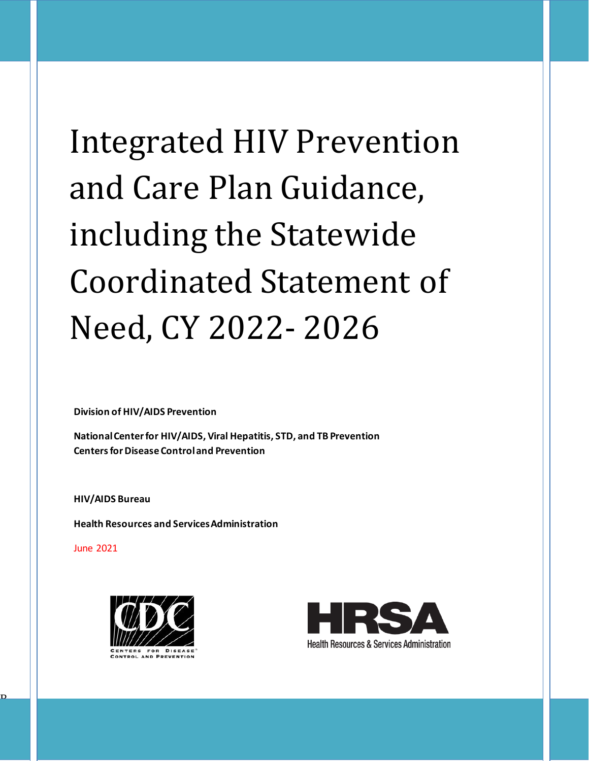# Integrated HIV Prevention and Care Plan Guidance, including the Statewide Coordinated Statement of Need, CY 2022- 2026

**Division of HIV/AIDS Prevention**

**National Center for HIV/AIDS, Viral Hepatitis, STD, and TB Prevention Centers for Disease Control and Prevention** 

**HIV/AIDS Bureau** 

**Health Resources and Services Administration**

June 2021

R



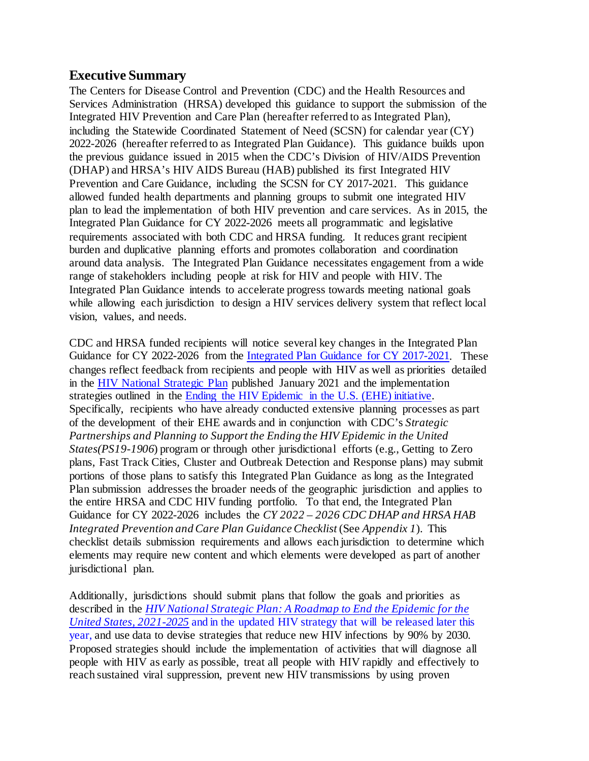# **Executive Summary**

The Centers for Disease Control and Prevention (CDC) and the Health Resources and Services Administration (HRSA) developed this guidance to support the submission of the Integrated HIV Prevention and Care Plan (hereafter referred to as Integrated Plan), including the Statewide Coordinated Statement of Need (SCSN) for calendar year (CY) 2022-2026 (hereafter referred to as Integrated Plan Guidance). This guidance builds upon the previous guidance issued in 2015 when the CDC's Division of HIV/AIDS Prevention (DHAP) and HRSA's HIV AIDS Bureau (HAB) published its first Integrated HIV Prevention and Care Guidance, including the SCSN for CY 2017-2021. This guidance allowed funded health departments and planning groups to submit one integrated HIV plan to lead the implementation of both HIV prevention and care services. As in 2015, the Integrated Plan Guidance for CY 2022-2026 meets all programmatic and legislative requirements associated with both CDC and HRSA funding. It reduces grant recipient burden and duplicative planning efforts and promotes collaboration and coordination around data analysis. The Integrated Plan Guidance necessitates engagement from a wide range of stakeholders including people at risk for HIV and people with HIV. The Integrated Plan Guidance intends to accelerate progress towards meeting national goals while allowing each jurisdiction to design a HIV services delivery system that reflect local vision, values, and needs.

CDC and HRSA funded recipients will notice several key changes in the Integrated Plan Guidance for CY 2022-2026 from the [Integrated Plan Guidance](https://hab.hrsa.gov/sites/default/files/hab/Global/hivpreventionplan062015.pdf) for CY 2017-2021. These changes reflect feedback from recipients and people with HIV as well as priorities detailed in the [HIV National Strategic Plan](https://www.hiv.gov/federal-response/hiv-national-strategic-plan/hiv-plan-2021-2025) published January 2021 and the implementation strategies outlined in the [Ending the HIV Epidemic in the U.S.](https://www.hiv.gov/federal-response/ending-the-hiv-epidemic/overview) (EHE) initiative. Specifically, recipients who have already conducted extensive planning processes as part of the development of their EHE awards and in conjunction with CDC's *Strategic Partnerships and Planning to Support the Ending the HIV Epidemic in the United States(PS19-1906*) program or through other jurisdictional efforts (e.g., Getting to Zero plans, Fast Track Cities, Cluster and Outbreak Detection and Response plans) may submit portions of those plans to satisfy this Integrated Plan Guidance as long as the Integrated Plan submission addresses the broader needs of the geographic jurisdiction and applies to the entire HRSA and CDC HIV funding portfolio. To that end, the Integrated Plan Guidance for CY 2022-2026 includes the *CY 2022 – 2026 CDC DHAP and HRSA HAB Integrated Prevention and Care Plan Guidance Checklist* (See *Appendix 1*). This checklist details submission requirements and allows each jurisdiction to determine which elements may require new content and which elements were developed as part of another jurisdictional plan.

Additionally, jurisdictions should submit plans that follow the goals and priorities as described in the *HIV National Strategic Plan: [A Roadmap to End the Epidemic for the](https://hivgov-prod-v3.s3.amazonaws.com/s3fs-public/HIV-National-Strategic-Plan-2021-2025.pdf)  [United States, 2021-2025](https://hivgov-prod-v3.s3.amazonaws.com/s3fs-public/HIV-National-Strategic-Plan-2021-2025.pdf)* and in the updated HIV strategy that will be released later this year, and use data to devise strategies that reduce new HIV infections by 90% by 2030. Proposed strategies should include the implementation of activities that will diagnose all people with HIV as early as possible, treat all people with HIV rapidly and effectively to reach sustained viral suppression, prevent new HIV transmissions by using proven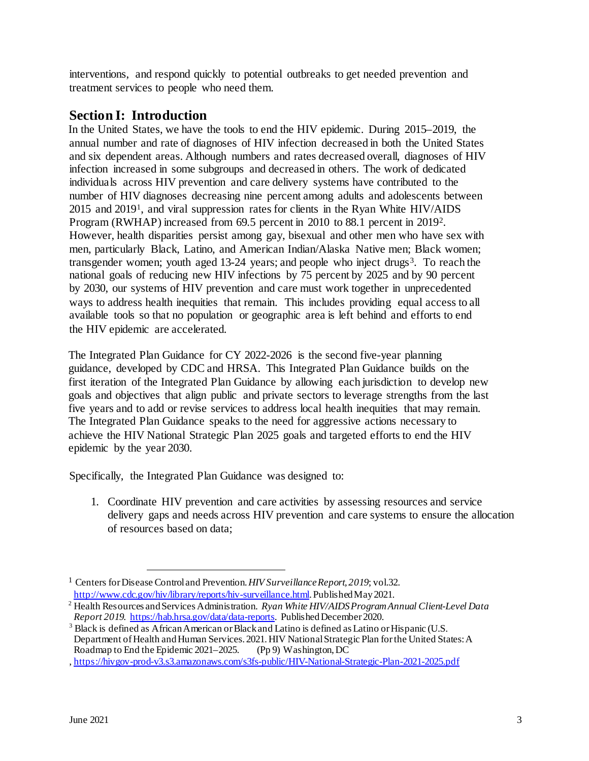interventions, and respond quickly to potential outbreaks to get needed prevention and treatment services to people who need them.

# **Section I: Introduction**

In the United States, we have the tools to end the HIV epidemic. During 2015–2019, the annual number and rate of diagnoses of HIV infection decreased in both the United States and six dependent areas. Although numbers and rates decreased overall, diagnoses of HIV infection increased in some subgroups and decreased in others. The work of dedicated individuals across HIV prevention and care delivery systems have contributed to the number of HIV diagnoses decreasing nine percent among adults and adolescents between 2015 and 201[91](#page-2-0), and viral suppression rates for clients in the Ryan White HIV/AIDS Program (RWHAP) increased from 69.5 percent in 2010 to 88.1 percent in 2019[2.](#page-2-1) However, health disparities persist among gay, bisexual and other men who have sex with men, particularly Black, Latino, and American Indian/Alaska Native men; Black women; transgender women; youth aged 1[3](#page-2-2)-24 years; and people who inject drugs<sup>3</sup>. To reach the national goals of reducing new HIV infections by 75 percent by 2025 and by 90 percent by 2030, our systems of HIV prevention and care must work together in unprecedented ways to address health inequities that remain. This includes providing equal access to all available tools so that no population or geographic area is left behind and efforts to end the HIV epidemic are accelerated.

The Integrated Plan Guidance for CY 2022-2026 is the second five-year planning guidance, developed by CDC and HRSA. This Integrated Plan Guidance builds on the first iteration of the Integrated Plan Guidance by allowing each jurisdiction to develop new goals and objectives that align public and private sectors to leverage strengths from the last five years and to add or revise services to address local health inequities that may remain. The Integrated Plan Guidance speaks to the need for aggressive actions necessary to achieve the HIV National Strategic Plan 2025 goals and targeted efforts to end the HIV epidemic by the year 2030.

Specifically, the Integrated Plan Guidance was designed to:

1. Coordinate HIV prevention and care activities by assessing resources and service delivery gaps and needs across HIV prevention and care systems to ensure the allocation of resources based on data;

<span id="page-2-0"></span><sup>&</sup>lt;sup>1</sup> Centers for Disease Control and Prevention. *HIV Surveillance Report, 2019*; vol.32.<br>http://www.cdc.gov/hiv/library/reports/hiv-surveillance.html. Published May 2021.

<span id="page-2-1"></span><sup>&</sup>lt;sup>[2](https://www.cdc.gov/hiv/library/reports/hiv-surveillance.html)</sup> Health Resources and Services Administration. *Ryan White HIV/AIDS Program Annual Client-Level Data Report 2019.*<https://hab.hrsa.gov/data/data-reports>. Published December 2020.

<span id="page-2-2"></span><sup>&</sup>lt;sup>3</sup> Black is defined as African American or Black and Latino is defined as Latino or Hispanic (U.S. Department of Health and Human Services. 2021. HIV National Strategic Plan for the United States: A Roadmap to End the Epidemic 2021–2025. (Pp 9) Washington, DC Roadmap to End the Epidemic 2021–2025.

<sup>,</sup><https://hivgov-prod-v3.s3.amazonaws.com/s3fs-public/HIV-National-Strategic-Plan-2021-2025.pdf>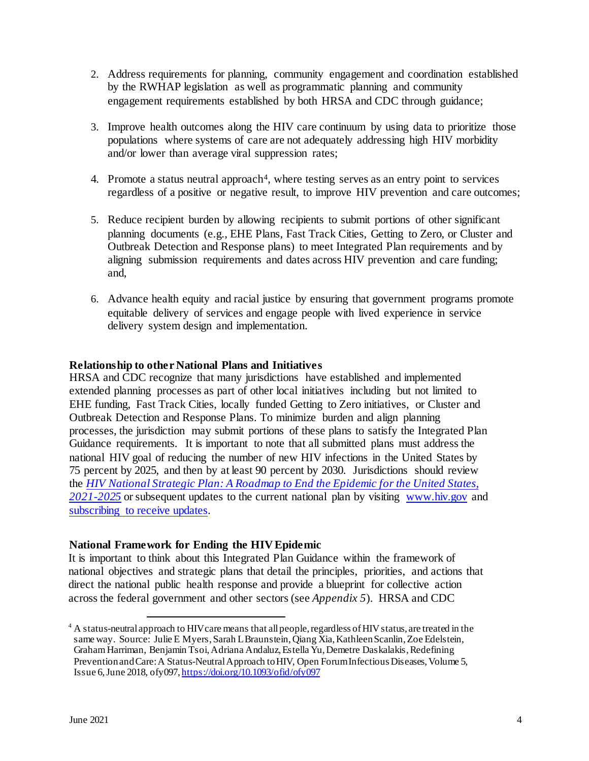- 2. Address requirements for planning, community engagement and coordination established by the RWHAP legislation as well as programmatic planning and community engagement requirements established by both HRSA and CDC through guidance;
- 3. Improve health outcomes along the HIV care continuum by using data to prioritize those populations where systems of care are not adequately addressing high HIV morbidity and/or lower than average viral suppression rates;
- 4. Promote a status neutral approach<sup>4</sup>, where testing serves as an entry point to services regardless of a positive or negative result, to improve HIV prevention and care outcomes;
- 5. Reduce recipient burden by allowing recipients to submit portions of other significant planning documents (e.g., EHE Plans, Fast Track Cities, Getting to Zero, or Cluster and Outbreak Detection and Response plans) to meet Integrated Plan requirements and by aligning submission requirements and dates across HIV prevention and care funding; and,
- 6. Advance health equity and racial justice by ensuring that government programs promote equitable delivery of services and engage people with lived experience in service delivery system design and implementation.

#### **Relationship to other National Plans and Initiatives**

HRSA and CDC recognize that many jurisdictions have established and implemented extended planning processes as part of other local initiatives including but not limited to EHE funding, Fast Track Cities, locally funded Getting to Zero initiatives, or Cluster and Outbreak Detection and Response Plans. To minimize burden and align planning processes, the jurisdiction may submit portions of these plans to satisfy the Integrated Plan Guidance requirements. It is important to note that all submitted plans must address the national HIV goal of reducing the number of new HIV infections in the United States by 75 percent by 2025, and then by at least 90 percent by 2030. Jurisdictions should review the *[HIV National Strategic Plan: A Roadmap to End the Epidemic for the United States,](https://hivgov-prod-v3.s3.amazonaws.com/s3fs-public/HIV-National-Strategic-Plan-2021-2025.pdf)  [2021-2025](https://hivgov-prod-v3.s3.amazonaws.com/s3fs-public/HIV-National-Strategic-Plan-2021-2025.pdf)* or subsequent updates to the current national plan by visiting [www.hiv.gov](http://www.hiv.gov/) and [subscribing to receive updates.](https://cloud.connect.hhs.gov/HIV)

#### **National Framework for Ending the HIV Epidemic**

It is important to think about this Integrated Plan Guidance within the framework of national objectives and strategic plans that detail the principles, priorities, and actions that direct the national public health response and provide a blueprint for collective action across the federal government and other sectors (see *Appendix 5*). HRSA and CDC

<span id="page-3-0"></span><sup>&</sup>lt;sup>4</sup> A status-neutral approach to HIV care means that all people, regardless of HIV status, are treated in the same way. Source: Julie E Myers, Sarah L Braunstein, Qiang Xia, Kathleen Scanlin, Zoe Edelstein, Graham Harriman, Benjamin Tsoi, Adriana Andaluz, Estella Yu, Demetre Daskalakis, Redefining Prevention and Care: A Status-Neutral Approach to HIV, Open Forum Infectious Diseases, Volume 5, Issue 6, June 2018, ofy097[, https://doi.org/10.1093/ofid/ofy097](https://doi.org/10.1093/ofid/ofy097)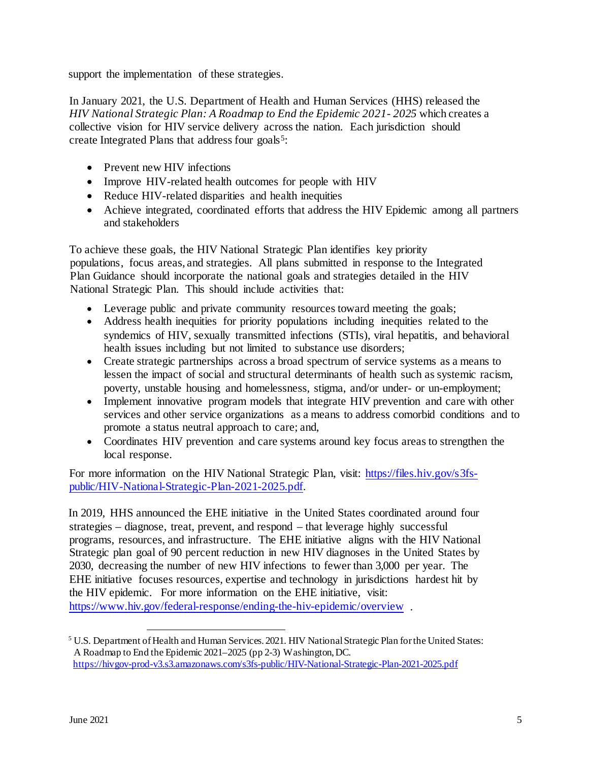support the implementation of these strategies.

In January 2021, the U.S. Department of Health and Human Services (HHS) released the *HIV National Strategic Plan: A Roadmap to End the Epidemic 2021- 2025* which creates a collective vision for HIV service delivery across the nation. Each jurisdiction should create Integrated Plans that address four goals<sup>[5](#page-4-0)</sup>:

- Prevent new HIV infections
- Improve HIV-related health outcomes for people with HIV
- Reduce HIV-related disparities and health inequities
- Achieve integrated, coordinated efforts that address the HIV Epidemic among all partners and stakeholders

To achieve these goals, the HIV National Strategic Plan identifies key priority populations, focus areas, and strategies. All plans submitted in response to the Integrated Plan Guidance should incorporate the national goals and strategies detailed in the HIV National Strategic Plan. This should include activities that:

- Leverage public and private community resources toward meeting the goals;
- Address health inequities for priority populations including inequities related to the syndemics of HIV, sexually transmitted infections (STIs), viral hepatitis, and behavioral health issues including but not limited to substance use disorders;
- Create strategic partnerships across a broad spectrum of service systems as a means to lessen the impact of social and structural determinants of health such as systemic racism, poverty, unstable housing and homelessness, stigma, and/or under- or un-employment;
- Implement innovative program models that integrate HIV prevention and care with other services and other service organizations as a means to address comorbid conditions and to promote a status neutral approach to care; and,
- Coordinates HIV prevention and care systems around key focus areas to strengthen the local response.

For more information on the HIV National Strategic Plan, visit: [https://files.hiv.gov/s3fs](https://files.hiv.gov/s3fs-public/HIV-National-Strategic-Plan-2021-2025.pdf)[public/HIV-National-Strategic-Plan-2021-2025.pdf.](https://files.hiv.gov/s3fs-public/HIV-National-Strategic-Plan-2021-2025.pdf) 

In 2019, HHS announced the EHE initiative in the United States coordinated around four strategies – diagnose, treat, prevent, and respond – that leverage highly successful programs, resources, and infrastructure. The EHE initiative aligns with the HIV National Strategic plan goal of 90 percent reduction in new HIV diagnoses in the United States by 2030, decreasing the number of new HIV infections to fewer than 3,000 per year. The EHE initiative focuses resources, expertise and technology in jurisdictions hardest hit by the HIV epidemic. For more information on the EHE initiative, visit: <https://www.hiv.gov/federal-response/ending-the-hiv-epidemic/overview>.

<span id="page-4-0"></span> <sup>5</sup> U.S. Department of Health and Human Services. 2021. HIV National Strategic Plan for the United States: A Roadmap to End the Epidemic 2021–2025 (pp 2-3) Washington, DC. <https://hivgov-prod-v3.s3.amazonaws.com/s3fs-public/HIV-National-Strategic-Plan-2021-2025.pdf>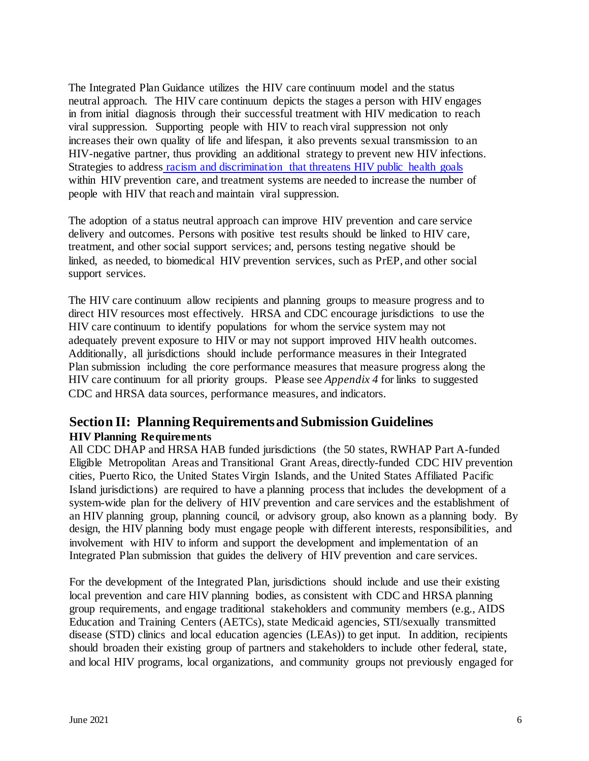The Integrated Plan Guidance utilizes the HIV care continuum model and the status neutral approach. The HIV care continuum depicts the stages a person with HIV engages in from initial diagnosis through their successful treatment with HIV medication to reach viral suppression. Supporting people with HIV to reach viral suppression not only increases their own quality of life and lifespan, it also prevents sexual transmission to an HIV-negative partner, thus providing an additional strategy to prevent new HIV infections. Strategies to address [racism and discrimination that threatens HIV public health goals](https://www.cdc.gov/healthequity/racism-disparities/index.html) within HIV prevention care, and treatment systems are needed to increase the number of people with HIV that reach and maintain viral suppression.

The adoption of a status neutral approach can improve HIV prevention and care service delivery and outcomes. Persons with positive test results should be linked to HIV care, treatment, and other social support services; and, persons testing negative should be linked, as needed, to biomedical HIV prevention services, such as PrEP, and other social support services.

The HIV care continuum allow recipients and planning groups to measure progress and to direct HIV resources most effectively. HRSA and CDC encourage jurisdictions to use the HIV care continuum to identify populations for whom the service system may not adequately prevent exposure to HIV or may not support improved HIV health outcomes. Additionally, all jurisdictions should include performance measures in their Integrated Plan submission including the core performance measures that measure progress along the HIV care continuum for all priority groups. Please see *Appendix 4* for links to suggested CDC and HRSA data sources, performance measures, and indicators.

# **Section II: Planning Requirements and Submission Guidelines HIV Planning Requirements**

All CDC DHAP and HRSA HAB funded jurisdictions (the 50 states, RWHAP Part A-funded Eligible Metropolitan Areas and Transitional Grant Areas, directly-funded CDC HIV prevention cities, Puerto Rico, the United States Virgin Islands, and the United States Affiliated Pacific Island jurisdictions) are required to have a planning process that includes the development of a system-wide plan for the delivery of HIV prevention and care services and the establishment of an HIV planning group, planning council, or advisory group, also known as a planning body. By design, the HIV planning body must engage people with different interests, responsibilities, and involvement with HIV to inform and support the development and implementation of an Integrated Plan submission that guides the delivery of HIV prevention and care services.

For the development of the Integrated Plan, jurisdictions should include and use their existing local prevention and care HIV planning bodies, as consistent with CDC and HRSA planning group requirements, and engage traditional stakeholders and community members (e.g., AIDS Education and Training Centers (AETCs), state Medicaid agencies, STI/sexually transmitted disease (STD) clinics and local education agencies (LEAs)) to get input. In addition, recipients should broaden their existing group of partners and stakeholders to include other federal, state, and local HIV programs, local organizations, and community groups not previously engaged for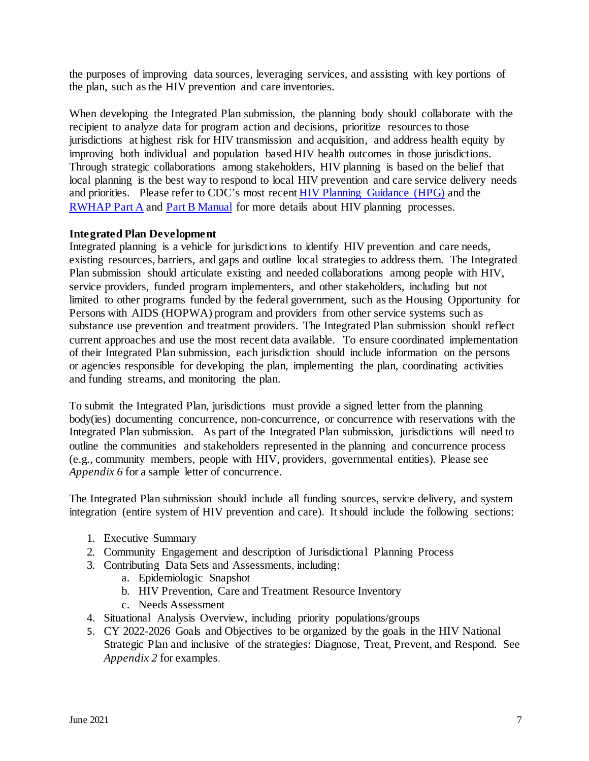the purposes of improving data sources, leveraging services, and assisting with key portions of the plan, such as the HIV prevention and care inventories.

When developing the Integrated Plan submission, the planning body should collaborate with the recipient to analyze data for program action and decisions, prioritize resources to those jurisdictions at highest risk for HIV transmission and acquisition, and address health equity by improving both individual and population based HIV health outcomes in those jurisdictions. Through strategic collaborations among stakeholders, HIV planning is based on the belief that local planning is the best way to respond to local HIV prevention and care service delivery needs and priorities. Please refer to CDC's most recent [HIV Planning Guidance \(HPG\)](https://www.cdc.gov/hiv/pdf/p/cdc-hiv-planning-guidance.pdf) and the [RWHAP Part A](https://hab.hrsa.gov/sites/default/files/hab/Global/happartamanual2013.pdf) and [Part B Manual](https://hab.hrsa.gov/sites/default/files/hab/Global/habpartbmanual2013.pdf) for more details about HIV planning processes.

#### **Integrated Plan Development**

Integrated planning is a vehicle for jurisdictions to identify HIV prevention and care needs, existing resources, barriers, and gaps and outline local strategies to address them. The Integrated Plan submission should articulate existing and needed collaborations among people with HIV, service providers, funded program implementers, and other stakeholders, including but not limited to other programs funded by the federal government, such as the Housing Opportunity for Persons with AIDS (HOPWA) program and providers from other service systems such as substance use prevention and treatment providers. The Integrated Plan submission should reflect current approaches and use the most recent data available. To ensure coordinated implementation of their Integrated Plan submission, each jurisdiction should include information on the persons or agencies responsible for developing the plan, implementing the plan, coordinating activities and funding streams, and monitoring the plan.

To submit the Integrated Plan, jurisdictions must provide a signed letter from the planning body(ies) documenting concurrence, non-concurrence, or concurrence with reservations with the Integrated Plan submission. As part of the Integrated Plan submission, jurisdictions will need to outline the communities and stakeholders represented in the planning and concurrence process (e.g., community members, people with HIV, providers, governmental entities). Please see *Appendix 6* for a sample letter of concurrence.

The Integrated Plan submission should include all funding sources, service delivery, and system integration (entire system of HIV prevention and care). It should include the following sections:

- 1. Executive Summary
- 2. Community Engagement and description of Jurisdictional Planning Process
- 3. Contributing Data Sets and Assessments, including:
	- a. Epidemiologic Snapshot
	- b. HIV Prevention, Care and Treatment Resource Inventory
	- c. Needs Assessment
- 4. Situational Analysis Overview, including priority populations/groups
- 5. CY 2022-2026 Goals and Objectives to be organized by the goals in the HIV National Strategic Plan and inclusive of the strategies: Diagnose, Treat, Prevent, and Respond. See *Appendix 2* for examples.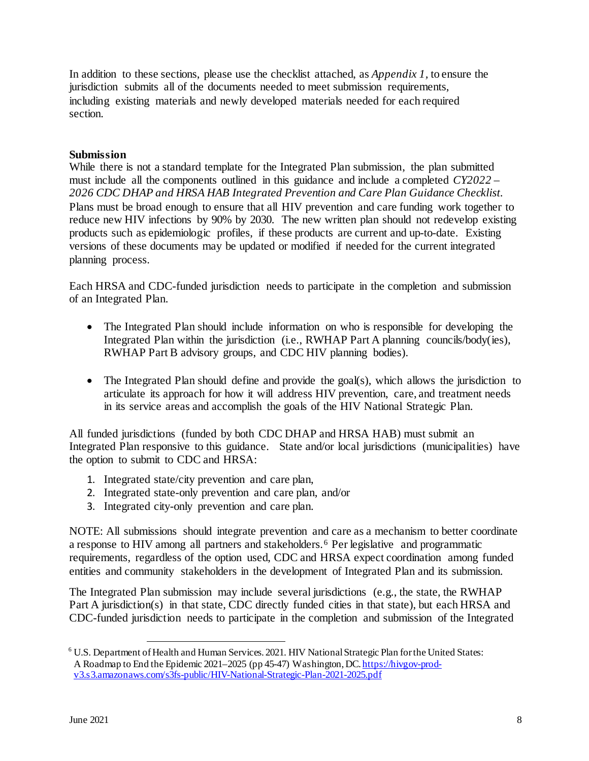In addition to these sections, please use the checklist attached, as *Appendix 1,* to ensure the jurisdiction submits all of the documents needed to meet submission requirements, including existing materials and newly developed materials needed for each required section.

#### **Submission**

While there is not a standard template for the Integrated Plan submission, the plan submitted must include all the components outlined in this guidance and include a completed *CY2022 – 2026 CDC DHAP and HRSA HAB Integrated Prevention and Care Plan Guidance Checklist*. Plans must be broad enough to ensure that all HIV prevention and care funding work together to reduce new HIV infections by 90% by 2030. The new written plan should not redevelop existing products such as epidemiologic profiles, if these products are current and up-to-date. Existing versions of these documents may be updated or modified if needed for the current integrated planning process.

Each HRSA and CDC-funded jurisdiction needs to participate in the completion and submission of an Integrated Plan.

- The Integrated Plan should include information on who is responsible for developing the Integrated Plan within the jurisdiction (i.e., RWHAP Part A planning councils/body(ies), RWHAP Part B advisory groups, and CDC HIV planning bodies).
- The Integrated Plan should define and provide the goal(s), which allows the jurisdiction to articulate its approach for how it will address HIV prevention, care, and treatment needs in its service areas and accomplish the goals of the HIV National Strategic Plan.

All funded jurisdictions (funded by both CDC DHAP and HRSA HAB) must submit an Integrated Plan responsive to this guidance. State and/or local jurisdictions (municipalities) have the option to submit to CDC and HRSA:

- 1. Integrated state/city prevention and care plan,
- 2. Integrated state-only prevention and care plan, and/or
- 3. Integrated city-only prevention and care plan.

NOTE: All submissions should integrate prevention and care as a mechanism to better coordinate a response to HIV among all partners and stakeholders. [6](#page-7-0) Per legislative and programmatic requirements, regardless of the option used, CDC and HRSA expect coordination among funded entities and community stakeholders in the development of Integrated Plan and its submission.

The Integrated Plan submission may include several jurisdictions (e.g., the state, the RWHAP Part A jurisdiction(s) in that state, CDC directly funded cities in that state), but each HRSA and CDC-funded jurisdiction needs to participate in the completion and submission of the Integrated

<span id="page-7-0"></span> <sup>6</sup> U.S. Department of Health and Human Services. 2021. HIV National Strategic Plan for the United States: A Roadmap to End the Epidemic 2021–2025 (pp 45-47) Washington, DC[. https://hivgov-prod](https://hivgov-prod-v3.s3.amazonaws.com/s3fs-public/HIV-National-Strategic-Plan-2021-2025.pdf)[v3.s3.amazonaws.com/s3fs-public/HIV-National-Strategic-Plan-2021-2025.pdf](https://hivgov-prod-v3.s3.amazonaws.com/s3fs-public/HIV-National-Strategic-Plan-2021-2025.pdf)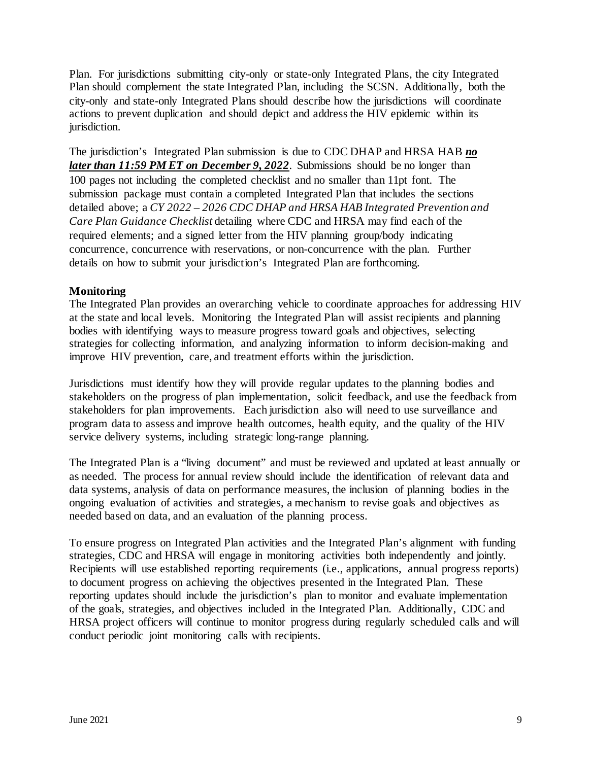Plan. For jurisdictions submitting city-only or state-only Integrated Plans, the city Integrated Plan should complement the state Integrated Plan, including the SCSN. Additionally, both the city-only and state-only Integrated Plans should describe how the jurisdictions will coordinate actions to prevent duplication and should depict and address the HIV epidemic within its jurisdiction.

The jurisdiction's Integrated Plan submission is due to CDC DHAP and HRSA HAB *no later than* **11:59 PM ET on December 9, 2022**. Submissions should be no longer than 100 pages not including the completed checklist and no smaller than 11pt font. The submission package must contain a completed Integrated Plan that includes the sections detailed above; a *CY 2022 – 2026 CDC DHAP and HRSA HAB Integrated Prevention and Care Plan Guidance Checklist* detailing where CDC and HRSA may find each of the required elements; and a signed letter from the HIV planning group/body indicating concurrence, concurrence with reservations, or non-concurrence with the plan. Further details on how to submit your jurisdiction's Integrated Plan are forthcoming.

#### **Monitoring**

The Integrated Plan provides an overarching vehicle to coordinate approaches for addressing HIV at the state and local levels. Monitoring the Integrated Plan will assist recipients and planning bodies with identifying ways to measure progress toward goals and objectives, selecting strategies for collecting information, and analyzing information to inform decision-making and improve HIV prevention, care, and treatment efforts within the jurisdiction.

Jurisdictions must identify how they will provide regular updates to the planning bodies and stakeholders on the progress of plan implementation, solicit feedback, and use the feedback from stakeholders for plan improvements. Each jurisdiction also will need to use surveillance and program data to assess and improve health outcomes, health equity, and the quality of the HIV service delivery systems, including strategic long-range planning.

The Integrated Plan is a "living document" and must be reviewed and updated at least annually or as needed. The process for annual review should include the identification of relevant data and data systems, analysis of data on performance measures, the inclusion of planning bodies in the ongoing evaluation of activities and strategies, a mechanism to revise goals and objectives as needed based on data, and an evaluation of the planning process.

To ensure progress on Integrated Plan activities and the Integrated Plan's alignment with funding strategies, CDC and HRSA will engage in monitoring activities both independently and jointly. Recipients will use established reporting requirements (i.e., applications, annual progress reports) to document progress on achieving the objectives presented in the Integrated Plan. These reporting updates should include the jurisdiction's plan to monitor and evaluate implementation of the goals, strategies, and objectives included in the Integrated Plan. Additionally, CDC and HRSA project officers will continue to monitor progress during regularly scheduled calls and will conduct periodic joint monitoring calls with recipients.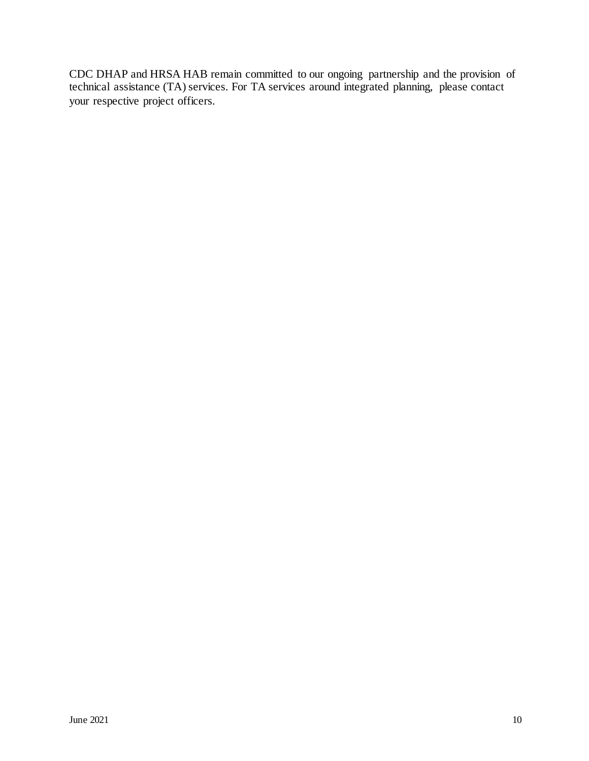CDC DHAP and HRSA HAB remain committed to our ongoing partnership and the provision of technical assistance (TA) services. For TA services around integrated planning, please contact your respective project officers.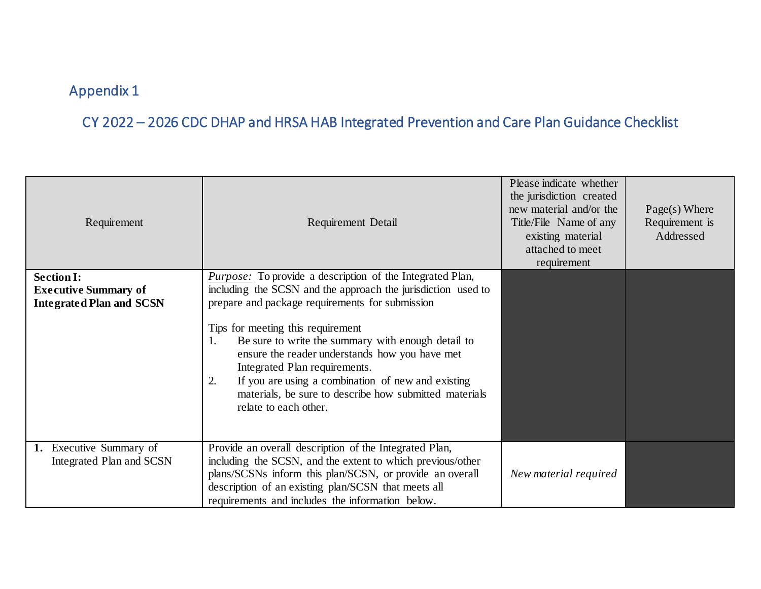# CY 2022 – 2026 CDC DHAP and HRSA HAB Integrated Prevention and Care Plan Guidance Checklist

| Requirement                                                                         | Requirement Detail                                                                                                                                                                                                                                                                                                                                                                                                                                                                                                     | Please indicate whether<br>the jurisdiction created<br>new material and/or the<br>Title/File Name of any<br>existing material<br>attached to meet<br>requirement | $Page(s)$ Where<br>Requirement is<br>Addressed |
|-------------------------------------------------------------------------------------|------------------------------------------------------------------------------------------------------------------------------------------------------------------------------------------------------------------------------------------------------------------------------------------------------------------------------------------------------------------------------------------------------------------------------------------------------------------------------------------------------------------------|------------------------------------------------------------------------------------------------------------------------------------------------------------------|------------------------------------------------|
| <b>Section I:</b><br><b>Executive Summary of</b><br><b>Integrated Plan and SCSN</b> | <i>Purpose:</i> To provide a description of the Integrated Plan,<br>including the SCSN and the approach the jurisdiction used to<br>prepare and package requirements for submission<br>Tips for meeting this requirement<br>Be sure to write the summary with enough detail to<br>Ι.<br>ensure the reader understands how you have met<br>Integrated Plan requirements.<br>If you are using a combination of new and existing<br>2.<br>materials, be sure to describe how submitted materials<br>relate to each other. |                                                                                                                                                                  |                                                |
| 1. Executive Summary of<br>Integrated Plan and SCSN                                 | Provide an overall description of the Integrated Plan,<br>including the SCSN, and the extent to which previous/other<br>plans/SCSNs inform this plan/SCSN, or provide an overall<br>description of an existing plan/SCSN that meets all<br>requirements and includes the information below.                                                                                                                                                                                                                            | New material required                                                                                                                                            |                                                |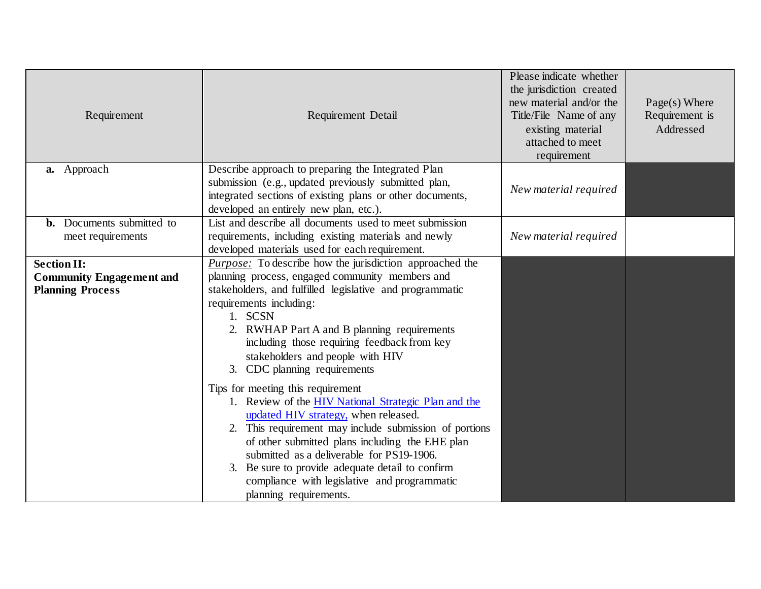| Requirement                                           | Requirement Detail                                                                                                                                                                                                                                                                                                                                                                                                               | Please indicate whether<br>the jurisdiction created<br>new material and/or the<br>Title/File Name of any<br>existing material<br>attached to meet<br>requirement | $Page(s)$ Where<br>Requirement is<br>Addressed |
|-------------------------------------------------------|----------------------------------------------------------------------------------------------------------------------------------------------------------------------------------------------------------------------------------------------------------------------------------------------------------------------------------------------------------------------------------------------------------------------------------|------------------------------------------------------------------------------------------------------------------------------------------------------------------|------------------------------------------------|
| a. Approach                                           | Describe approach to preparing the Integrated Plan<br>submission (e.g., updated previously submitted plan,<br>integrated sections of existing plans or other documents,<br>developed an entirely new plan, etc.).                                                                                                                                                                                                                | New material required                                                                                                                                            |                                                |
| <b>b.</b> Documents submitted to<br>meet requirements | List and describe all documents used to meet submission<br>requirements, including existing materials and newly<br>developed materials used for each requirement.                                                                                                                                                                                                                                                                | New material required                                                                                                                                            |                                                |
| <b>Section II:</b>                                    | <i>Purpose:</i> To describe how the jurisdiction approached the                                                                                                                                                                                                                                                                                                                                                                  |                                                                                                                                                                  |                                                |
| <b>Community Engagement and</b>                       | planning process, engaged community members and                                                                                                                                                                                                                                                                                                                                                                                  |                                                                                                                                                                  |                                                |
| <b>Planning Process</b>                               | stakeholders, and fulfilled legislative and programmatic                                                                                                                                                                                                                                                                                                                                                                         |                                                                                                                                                                  |                                                |
|                                                       | requirements including:<br>1. SCSN                                                                                                                                                                                                                                                                                                                                                                                               |                                                                                                                                                                  |                                                |
|                                                       | 2. RWHAP Part A and B planning requirements<br>including those requiring feedback from key<br>stakeholders and people with HIV<br>3. CDC planning requirements                                                                                                                                                                                                                                                                   |                                                                                                                                                                  |                                                |
|                                                       | Tips for meeting this requirement<br>1. Review of the <b>HIV National Strategic Plan and the</b><br>updated HIV strategy, when released.<br>2. This requirement may include submission of portions<br>of other submitted plans including the EHE plan<br>submitted as a deliverable for PS19-1906.<br>3. Be sure to provide adequate detail to confirm<br>compliance with legislative and programmatic<br>planning requirements. |                                                                                                                                                                  |                                                |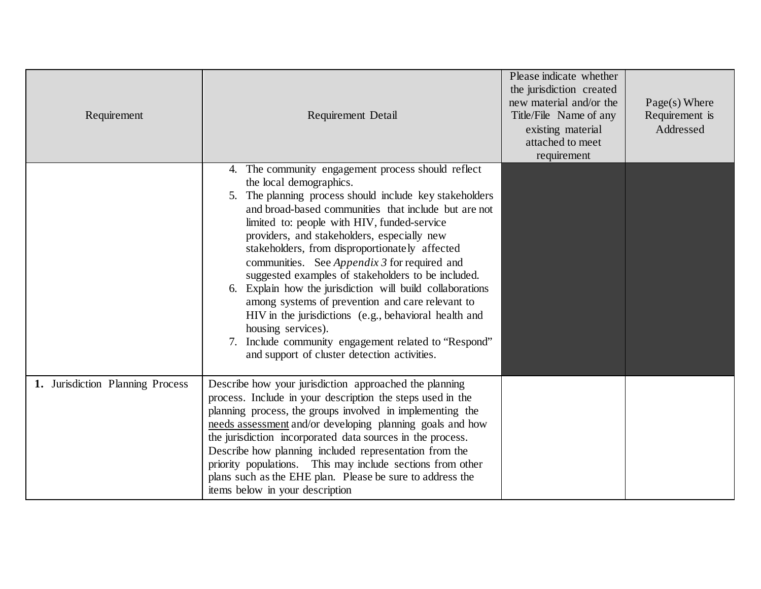| Requirement                      | Requirement Detail                                                                                                                                                                                                                                                                                                                                                                                                                                                                                                                                                                                                                                                                                                                                                    | Please indicate whether<br>the jurisdiction created<br>new material and/or the<br>Title/File Name of any<br>existing material<br>attached to meet<br>requirement | $Page(s)$ Where<br>Requirement is<br>Addressed |
|----------------------------------|-----------------------------------------------------------------------------------------------------------------------------------------------------------------------------------------------------------------------------------------------------------------------------------------------------------------------------------------------------------------------------------------------------------------------------------------------------------------------------------------------------------------------------------------------------------------------------------------------------------------------------------------------------------------------------------------------------------------------------------------------------------------------|------------------------------------------------------------------------------------------------------------------------------------------------------------------|------------------------------------------------|
|                                  | 4. The community engagement process should reflect<br>the local demographics.<br>5. The planning process should include key stakeholders<br>and broad-based communities that include but are not<br>limited to: people with HIV, funded-service<br>providers, and stakeholders, especially new<br>stakeholders, from disproportionately affected<br>communities. See <i>Appendix 3</i> for required and<br>suggested examples of stakeholders to be included.<br>6. Explain how the jurisdiction will build collaborations<br>among systems of prevention and care relevant to<br>HIV in the jurisdictions (e.g., behavioral health and<br>housing services).<br>7. Include community engagement related to "Respond"<br>and support of cluster detection activities. |                                                                                                                                                                  |                                                |
| 1. Jurisdiction Planning Process | Describe how your jurisdiction approached the planning<br>process. Include in your description the steps used in the<br>planning process, the groups involved in implementing the<br>needs assessment and/or developing planning goals and how<br>the jurisdiction incorporated data sources in the process.<br>Describe how planning included representation from the<br>priority populations. This may include sections from other<br>plans such as the EHE plan. Please be sure to address the<br>items below in your description                                                                                                                                                                                                                                  |                                                                                                                                                                  |                                                |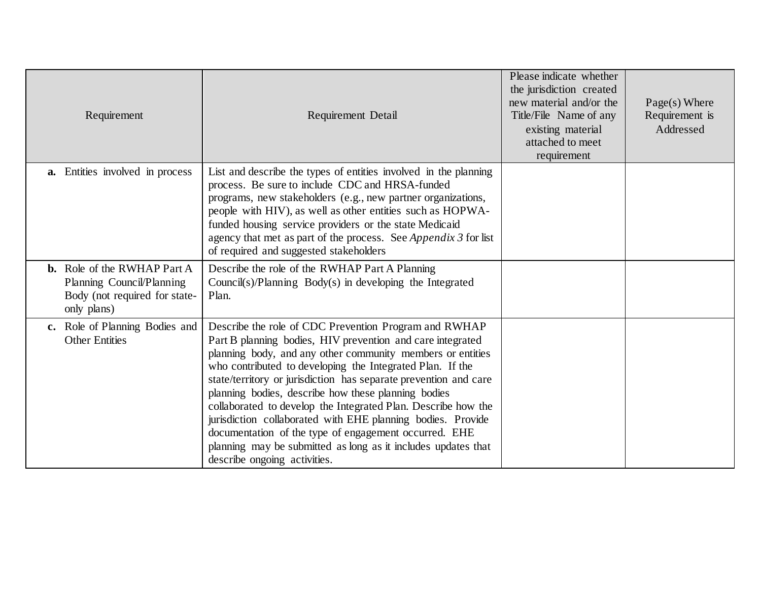| Requirement                                                                                                     | Requirement Detail                                                                                                                                                                                                                                                                                                                                                                                                                                                                                                                                                                                                                                                  | Please indicate whether<br>the jurisdiction created<br>new material and/or the<br>Title/File Name of any<br>existing material<br>attached to meet<br>requirement | $Page(s)$ Where<br>Requirement is<br>Addressed |
|-----------------------------------------------------------------------------------------------------------------|---------------------------------------------------------------------------------------------------------------------------------------------------------------------------------------------------------------------------------------------------------------------------------------------------------------------------------------------------------------------------------------------------------------------------------------------------------------------------------------------------------------------------------------------------------------------------------------------------------------------------------------------------------------------|------------------------------------------------------------------------------------------------------------------------------------------------------------------|------------------------------------------------|
| <b>a.</b> Entities involved in process                                                                          | List and describe the types of entities involved in the planning<br>process. Be sure to include CDC and HRSA-funded<br>programs, new stakeholders (e.g., new partner organizations,<br>people with HIV), as well as other entities such as HOPWA-<br>funded housing service providers or the state Medicaid<br>agency that met as part of the process. See Appendix 3 for list<br>of required and suggested stakeholders                                                                                                                                                                                                                                            |                                                                                                                                                                  |                                                |
| <b>b.</b> Role of the RWHAP Part A<br>Planning Council/Planning<br>Body (not required for state-<br>only plans) | Describe the role of the RWHAP Part A Planning<br>Council(s)/Planning Body(s) in developing the Integrated<br>Plan.                                                                                                                                                                                                                                                                                                                                                                                                                                                                                                                                                 |                                                                                                                                                                  |                                                |
| c. Role of Planning Bodies and<br><b>Other Entities</b>                                                         | Describe the role of CDC Prevention Program and RWHAP<br>Part B planning bodies, HIV prevention and care integrated<br>planning body, and any other community members or entities<br>who contributed to developing the Integrated Plan. If the<br>state/territory or jurisdiction has separate prevention and care<br>planning bodies, describe how these planning bodies<br>collaborated to develop the Integrated Plan. Describe how the<br>jurisdiction collaborated with EHE planning bodies. Provide<br>documentation of the type of engagement occurred. EHE<br>planning may be submitted as long as it includes updates that<br>describe ongoing activities. |                                                                                                                                                                  |                                                |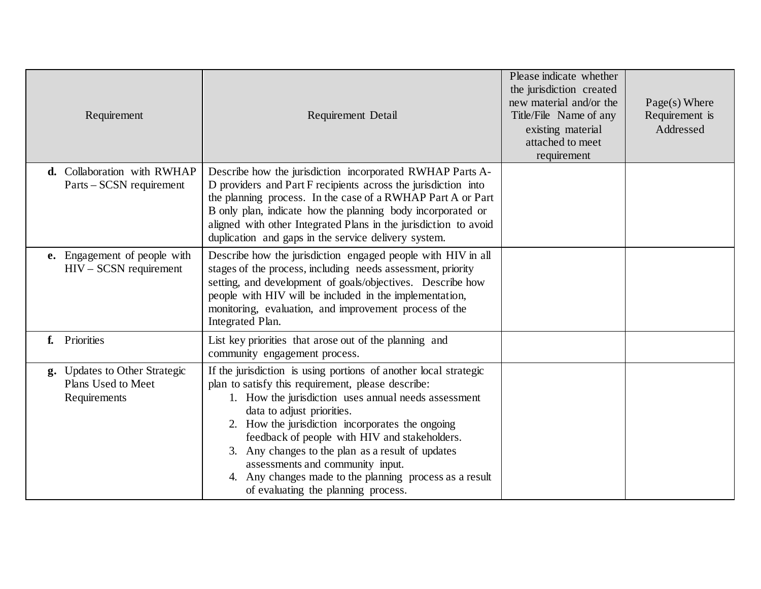| Requirement                                                         | Requirement Detail                                                                                                                                                                                                                                                                                                                                                                                                                                                                                           | Please indicate whether<br>the jurisdiction created<br>new material and/or the<br>Title/File Name of any<br>existing material<br>attached to meet<br>requirement | $Page(s)$ Where<br>Requirement is<br>Addressed |
|---------------------------------------------------------------------|--------------------------------------------------------------------------------------------------------------------------------------------------------------------------------------------------------------------------------------------------------------------------------------------------------------------------------------------------------------------------------------------------------------------------------------------------------------------------------------------------------------|------------------------------------------------------------------------------------------------------------------------------------------------------------------|------------------------------------------------|
| d. Collaboration with RWHAP<br>Parts – SCSN requirement             | Describe how the jurisdiction incorporated RWHAP Parts A-<br>D providers and Part F recipients across the jurisdiction into<br>the planning process. In the case of a RWHAP Part A or Part<br>B only plan, indicate how the planning body incorporated or<br>aligned with other Integrated Plans in the jurisdiction to avoid<br>duplication and gaps in the service delivery system.                                                                                                                        |                                                                                                                                                                  |                                                |
| e. Engagement of people with<br>$HIV - SCSN requirement$            | Describe how the jurisdiction engaged people with HIV in all<br>stages of the process, including needs assessment, priority<br>setting, and development of goals/objectives. Describe how<br>people with HIV will be included in the implementation,<br>monitoring, evaluation, and improvement process of the<br>Integrated Plan.                                                                                                                                                                           |                                                                                                                                                                  |                                                |
| f. Priorities                                                       | List key priorities that arose out of the planning and<br>community engagement process.                                                                                                                                                                                                                                                                                                                                                                                                                      |                                                                                                                                                                  |                                                |
| g. Updates to Other Strategic<br>Plans Used to Meet<br>Requirements | If the jurisdiction is using portions of another local strategic<br>plan to satisfy this requirement, please describe:<br>1. How the jurisdiction uses annual needs assessment<br>data to adjust priorities.<br>2. How the jurisdiction incorporates the ongoing<br>feedback of people with HIV and stakeholders.<br>3. Any changes to the plan as a result of updates<br>assessments and community input.<br>4. Any changes made to the planning process as a result<br>of evaluating the planning process. |                                                                                                                                                                  |                                                |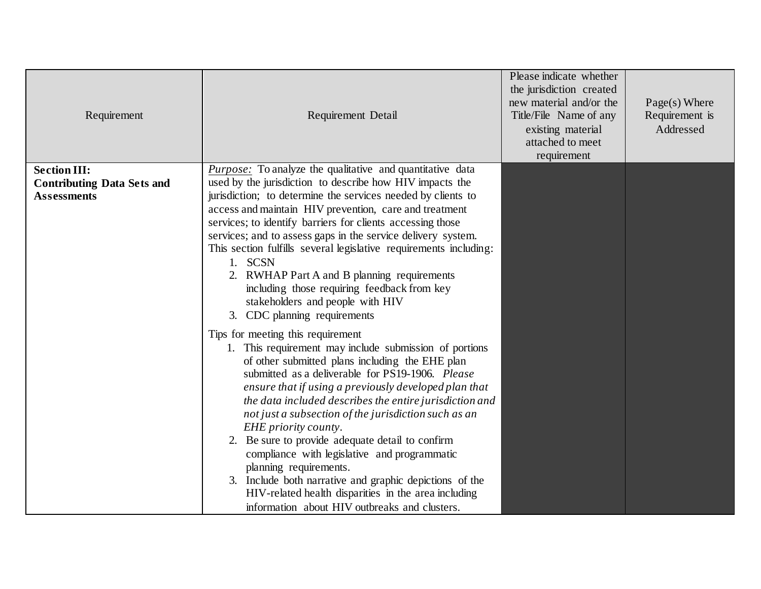| Requirement                       | Requirement Detail                                                                                                         | Please indicate whether<br>the jurisdiction created<br>new material and/or the<br>Title/File Name of any<br>existing material<br>attached to meet<br>requirement | $Page(s)$ Where<br>Requirement is<br>Addressed |
|-----------------------------------|----------------------------------------------------------------------------------------------------------------------------|------------------------------------------------------------------------------------------------------------------------------------------------------------------|------------------------------------------------|
| <b>Section III:</b>               | <i>Purpose:</i> To analyze the qualitative and quantitative data                                                           |                                                                                                                                                                  |                                                |
| <b>Contributing Data Sets and</b> | used by the jurisdiction to describe how HIV impacts the                                                                   |                                                                                                                                                                  |                                                |
| <b>Assessments</b>                | jurisdiction; to determine the services needed by clients to                                                               |                                                                                                                                                                  |                                                |
|                                   | access and maintain HIV prevention, care and treatment                                                                     |                                                                                                                                                                  |                                                |
|                                   | services; to identify barriers for clients accessing those<br>services; and to assess gaps in the service delivery system. |                                                                                                                                                                  |                                                |
|                                   | This section fulfills several legislative requirements including:                                                          |                                                                                                                                                                  |                                                |
|                                   | 1. SCSN                                                                                                                    |                                                                                                                                                                  |                                                |
|                                   | 2. RWHAP Part A and B planning requirements                                                                                |                                                                                                                                                                  |                                                |
|                                   | including those requiring feedback from key                                                                                |                                                                                                                                                                  |                                                |
|                                   | stakeholders and people with HIV                                                                                           |                                                                                                                                                                  |                                                |
|                                   | 3. CDC planning requirements                                                                                               |                                                                                                                                                                  |                                                |
|                                   | Tips for meeting this requirement                                                                                          |                                                                                                                                                                  |                                                |
|                                   | 1. This requirement may include submission of portions                                                                     |                                                                                                                                                                  |                                                |
|                                   | of other submitted plans including the EHE plan                                                                            |                                                                                                                                                                  |                                                |
|                                   | submitted as a deliverable for PS19-1906. Please                                                                           |                                                                                                                                                                  |                                                |
|                                   | ensure that if using a previously developed plan that                                                                      |                                                                                                                                                                  |                                                |
|                                   | the data included describes the entire jurisdiction and                                                                    |                                                                                                                                                                  |                                                |
|                                   | not just a subsection of the jurisdiction such as an<br>EHE priority county.                                               |                                                                                                                                                                  |                                                |
|                                   | 2. Be sure to provide adequate detail to confirm                                                                           |                                                                                                                                                                  |                                                |
|                                   | compliance with legislative and programmatic                                                                               |                                                                                                                                                                  |                                                |
|                                   | planning requirements.                                                                                                     |                                                                                                                                                                  |                                                |
|                                   | 3. Include both narrative and graphic depictions of the                                                                    |                                                                                                                                                                  |                                                |
|                                   | HIV-related health disparities in the area including                                                                       |                                                                                                                                                                  |                                                |
|                                   | information about HIV outbreaks and clusters.                                                                              |                                                                                                                                                                  |                                                |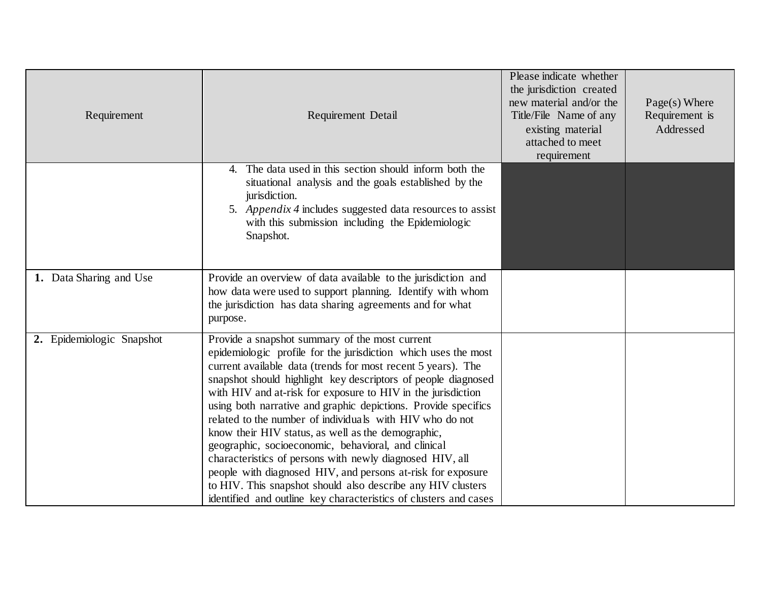| Requirement               | Requirement Detail                                                                                                                                                                                                                                                                                                                                                                                                                                                                                                                                                                                                                                                                                                                                                                                                         | Please indicate whether<br>the jurisdiction created<br>new material and/or the<br>Title/File Name of any<br>existing material<br>attached to meet<br>requirement | Page(s) Where<br>Requirement is<br>Addressed |
|---------------------------|----------------------------------------------------------------------------------------------------------------------------------------------------------------------------------------------------------------------------------------------------------------------------------------------------------------------------------------------------------------------------------------------------------------------------------------------------------------------------------------------------------------------------------------------------------------------------------------------------------------------------------------------------------------------------------------------------------------------------------------------------------------------------------------------------------------------------|------------------------------------------------------------------------------------------------------------------------------------------------------------------|----------------------------------------------|
|                           | 4. The data used in this section should inform both the<br>situational analysis and the goals established by the<br>jurisdiction.<br>5. Appendix 4 includes suggested data resources to assist<br>with this submission including the Epidemiologic<br>Snapshot.                                                                                                                                                                                                                                                                                                                                                                                                                                                                                                                                                            |                                                                                                                                                                  |                                              |
| 1. Data Sharing and Use   | Provide an overview of data available to the jurisdiction and<br>how data were used to support planning. Identify with whom<br>the jurisdiction has data sharing agreements and for what<br>purpose.                                                                                                                                                                                                                                                                                                                                                                                                                                                                                                                                                                                                                       |                                                                                                                                                                  |                                              |
| 2. Epidemiologic Snapshot | Provide a snapshot summary of the most current<br>epidemiologic profile for the jurisdiction which uses the most<br>current available data (trends for most recent 5 years). The<br>snapshot should highlight key descriptors of people diagnosed<br>with HIV and at-risk for exposure to HIV in the jurisdiction<br>using both narrative and graphic depictions. Provide specifics<br>related to the number of individuals with HIV who do not<br>know their HIV status, as well as the demographic,<br>geographic, socioeconomic, behavioral, and clinical<br>characteristics of persons with newly diagnosed HIV, all<br>people with diagnosed HIV, and persons at-risk for exposure<br>to HIV. This snapshot should also describe any HIV clusters<br>identified and outline key characteristics of clusters and cases |                                                                                                                                                                  |                                              |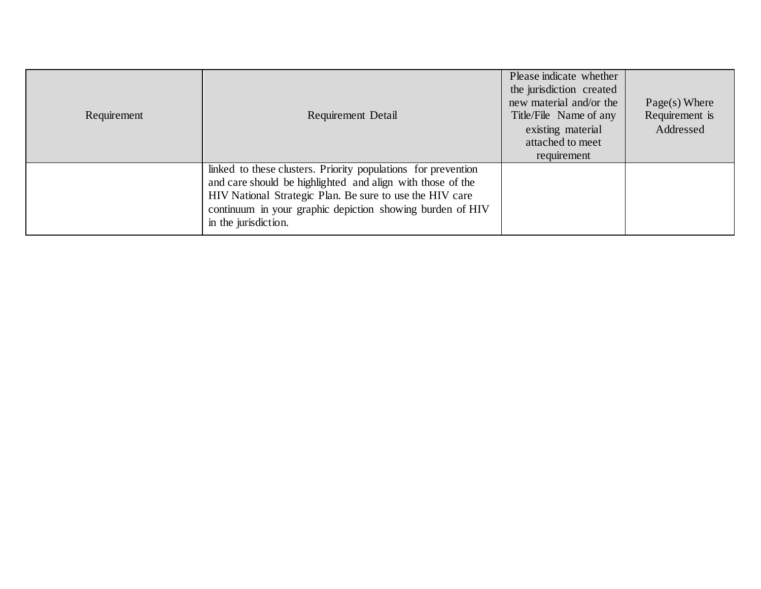| Requirement | Requirement Detail                                                                                                                                                                                                                                                           | Please indicate whether<br>the jurisdiction created<br>new material and/or the<br>Title/File Name of any<br>existing material<br>attached to meet<br>requirement | $Page(s)$ Where<br>Requirement is<br>Addressed |
|-------------|------------------------------------------------------------------------------------------------------------------------------------------------------------------------------------------------------------------------------------------------------------------------------|------------------------------------------------------------------------------------------------------------------------------------------------------------------|------------------------------------------------|
|             | linked to these clusters. Priority populations for prevention<br>and care should be highlighted and align with those of the<br>HIV National Strategic Plan. Be sure to use the HIV care<br>continuum in your graphic depiction showing burden of HIV<br>in the jurisdiction. |                                                                                                                                                                  |                                                |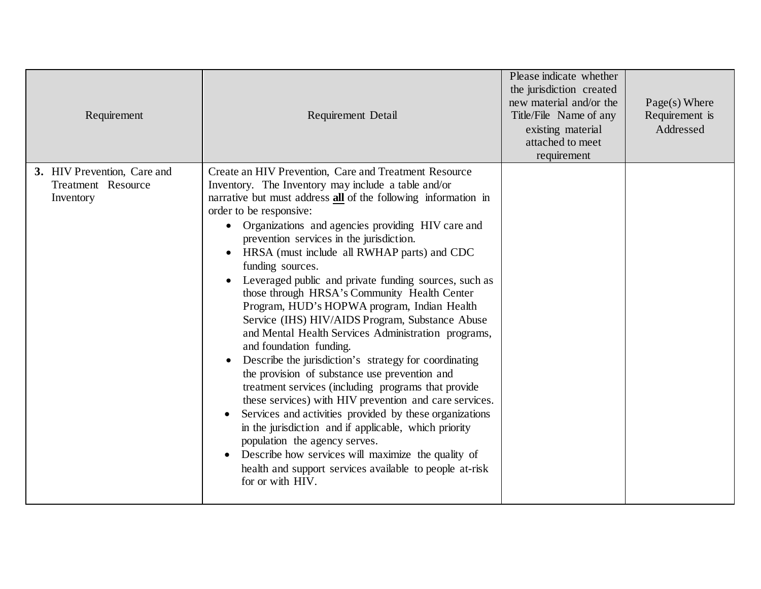| Requirement                                                    | Requirement Detail                                                                                                                                                                                                                                                                                                                                                                                                                                                                                                                                                                                                                                                                                                                                                                                                                                                                                                                                                                                                                                                                                                                                                                                           | Please indicate whether<br>the jurisdiction created<br>new material and/or the<br>Title/File Name of any<br>existing material<br>attached to meet<br>requirement | $Page(s)$ Where<br>Requirement is<br>Addressed |
|----------------------------------------------------------------|--------------------------------------------------------------------------------------------------------------------------------------------------------------------------------------------------------------------------------------------------------------------------------------------------------------------------------------------------------------------------------------------------------------------------------------------------------------------------------------------------------------------------------------------------------------------------------------------------------------------------------------------------------------------------------------------------------------------------------------------------------------------------------------------------------------------------------------------------------------------------------------------------------------------------------------------------------------------------------------------------------------------------------------------------------------------------------------------------------------------------------------------------------------------------------------------------------------|------------------------------------------------------------------------------------------------------------------------------------------------------------------|------------------------------------------------|
| 3. HIV Prevention, Care and<br>Treatment Resource<br>Inventory | Create an HIV Prevention, Care and Treatment Resource<br>Inventory. The Inventory may include a table and/or<br>narrative but must address all of the following information in<br>order to be responsive:<br>Organizations and agencies providing HIV care and<br>$\bullet$<br>prevention services in the jurisdiction.<br>HRSA (must include all RWHAP parts) and CDC<br>funding sources.<br>Leveraged public and private funding sources, such as<br>those through HRSA's Community Health Center<br>Program, HUD's HOPWA program, Indian Health<br>Service (IHS) HIV/AIDS Program, Substance Abuse<br>and Mental Health Services Administration programs,<br>and foundation funding.<br>Describe the jurisdiction's strategy for coordinating<br>the provision of substance use prevention and<br>treatment services (including programs that provide<br>these services) with HIV prevention and care services.<br>Services and activities provided by these organizations<br>in the jurisdiction and if applicable, which priority<br>population the agency serves.<br>Describe how services will maximize the quality of<br>health and support services available to people at-risk<br>for or with HIV. |                                                                                                                                                                  |                                                |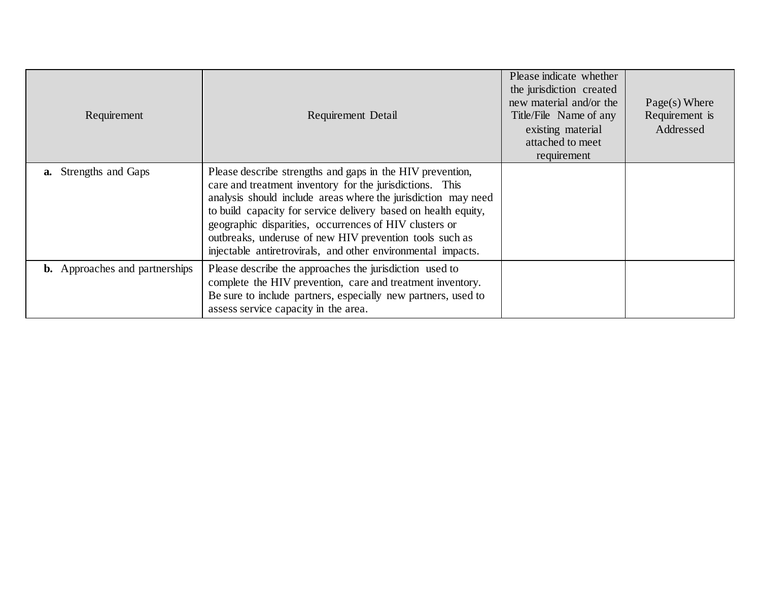| Requirement                           | Requirement Detail                                                                                                                                                                                                                                                                                                                                                                                                                            | Please indicate whether<br>the jurisdiction created<br>new material and/or the<br>Title/File Name of any<br>existing material<br>attached to meet<br>requirement | $Page(s)$ Where<br>Requirement is<br>Addressed |
|---------------------------------------|-----------------------------------------------------------------------------------------------------------------------------------------------------------------------------------------------------------------------------------------------------------------------------------------------------------------------------------------------------------------------------------------------------------------------------------------------|------------------------------------------------------------------------------------------------------------------------------------------------------------------|------------------------------------------------|
| <b>a.</b> Strengths and Gaps          | Please describe strengths and gaps in the HIV prevention,<br>care and treatment inventory for the jurisdictions. This<br>analysis should include areas where the jurisdiction may need<br>to build capacity for service delivery based on health equity,<br>geographic disparities, occurrences of HIV clusters or<br>outbreaks, underuse of new HIV prevention tools such as<br>injectable antiretrovirals, and other environmental impacts. |                                                                                                                                                                  |                                                |
| <b>b.</b> Approaches and partnerships | Please describe the approaches the jurisdiction used to<br>complete the HIV prevention, care and treatment inventory.<br>Be sure to include partners, especially new partners, used to<br>assess service capacity in the area.                                                                                                                                                                                                                |                                                                                                                                                                  |                                                |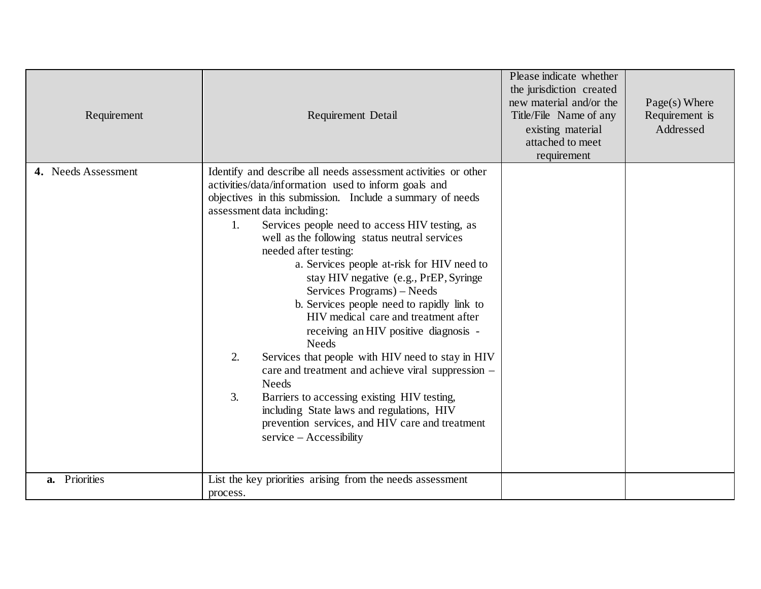| Requirement         | Requirement Detail                                                                                                                                                                                                                                                                                                                                                                                                                                                                                                                                                                                                                                                                                                                                                                                                                                                                                                                           | Please indicate whether<br>the jurisdiction created<br>new material and/or the<br>Title/File Name of any<br>existing material<br>attached to meet<br>requirement | $Page(s)$ Where<br>Requirement is<br>Addressed |
|---------------------|----------------------------------------------------------------------------------------------------------------------------------------------------------------------------------------------------------------------------------------------------------------------------------------------------------------------------------------------------------------------------------------------------------------------------------------------------------------------------------------------------------------------------------------------------------------------------------------------------------------------------------------------------------------------------------------------------------------------------------------------------------------------------------------------------------------------------------------------------------------------------------------------------------------------------------------------|------------------------------------------------------------------------------------------------------------------------------------------------------------------|------------------------------------------------|
| 4. Needs Assessment | Identify and describe all needs assessment activities or other<br>activities/data/information used to inform goals and<br>objectives in this submission. Include a summary of needs<br>assessment data including:<br>Services people need to access HIV testing, as<br>1.<br>well as the following status neutral services<br>needed after testing:<br>a. Services people at-risk for HIV need to<br>stay HIV negative (e.g., PrEP, Syringe<br>Services Programs) - Needs<br>b. Services people need to rapidly link to<br>HIV medical care and treatment after<br>receiving an HIV positive diagnosis -<br><b>Needs</b><br>2.<br>Services that people with HIV need to stay in HIV<br>care and treatment and achieve viral suppression –<br><b>Needs</b><br>Barriers to accessing existing HIV testing,<br>3.<br>including State laws and regulations, HIV<br>prevention services, and HIV care and treatment<br>$s$ ervice – Accessibility |                                                                                                                                                                  |                                                |
| a. Priorities       | List the key priorities arising from the needs assessment<br>process.                                                                                                                                                                                                                                                                                                                                                                                                                                                                                                                                                                                                                                                                                                                                                                                                                                                                        |                                                                                                                                                                  |                                                |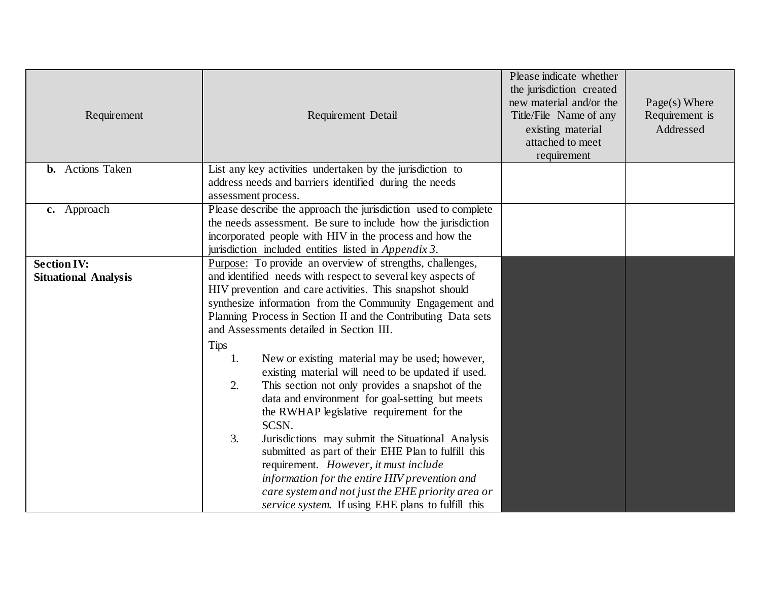| Requirement                                       | Requirement Detail                                                                                                                                                                                                                                                                                                                                                                                                                                                                                                                                                                                                                                                                                                                                                                                                                                                                                                                                                            | Please indicate whether<br>the jurisdiction created<br>new material and/or the<br>Title/File Name of any<br>existing material<br>attached to meet<br>requirement | $Page(s)$ Where<br>Requirement is<br>Addressed |
|---------------------------------------------------|-------------------------------------------------------------------------------------------------------------------------------------------------------------------------------------------------------------------------------------------------------------------------------------------------------------------------------------------------------------------------------------------------------------------------------------------------------------------------------------------------------------------------------------------------------------------------------------------------------------------------------------------------------------------------------------------------------------------------------------------------------------------------------------------------------------------------------------------------------------------------------------------------------------------------------------------------------------------------------|------------------------------------------------------------------------------------------------------------------------------------------------------------------|------------------------------------------------|
| <b>b.</b> Actions Taken                           | List any key activities undertaken by the jurisdiction to<br>address needs and barriers identified during the needs<br>assessment process.                                                                                                                                                                                                                                                                                                                                                                                                                                                                                                                                                                                                                                                                                                                                                                                                                                    |                                                                                                                                                                  |                                                |
| c. Approach                                       | Please describe the approach the jurisdiction used to complete<br>the needs assessment. Be sure to include how the jurisdiction<br>incorporated people with HIV in the process and how the<br>jurisdiction included entities listed in Appendix 3.                                                                                                                                                                                                                                                                                                                                                                                                                                                                                                                                                                                                                                                                                                                            |                                                                                                                                                                  |                                                |
| <b>Section IV:</b><br><b>Situational Analysis</b> | Purpose: To provide an overview of strengths, challenges,<br>and identified needs with respect to several key aspects of<br>HIV prevention and care activities. This snapshot should<br>synthesize information from the Community Engagement and<br>Planning Process in Section II and the Contributing Data sets<br>and Assessments detailed in Section III.<br>Tips<br>New or existing material may be used; however,<br>1.<br>existing material will need to be updated if used.<br>This section not only provides a snapshot of the<br>2.<br>data and environment for goal-setting but meets<br>the RWHAP legislative requirement for the<br>SCSN.<br>3.<br>Jurisdictions may submit the Situational Analysis<br>submitted as part of their EHE Plan to fulfill this<br>requirement. However, it must include<br>information for the entire HIV prevention and<br>care system and not just the EHE priority area or<br>service system. If using EHE plans to fulfill this |                                                                                                                                                                  |                                                |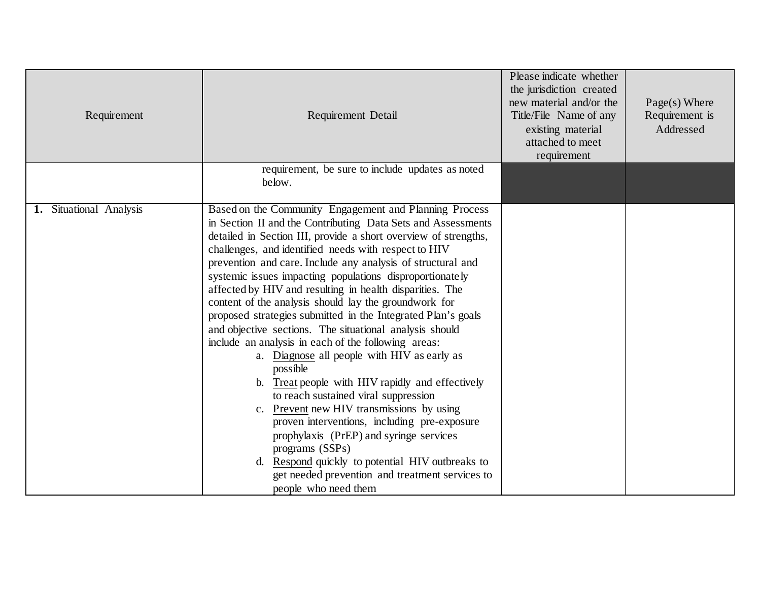| Requirement             | <b>Requirement Detail</b><br>requirement, be sure to include updates as noted                                                                                                                                                                                                                                                                                                                                                                                                                                                                                                                                                                                                                                                                                                                                                                                                                                                                                                                                                                                                                                                        | Please indicate whether<br>the jurisdiction created<br>new material and/or the<br>Title/File Name of any<br>existing material<br>attached to meet<br>requirement | $Page(s)$ Where<br>Requirement is<br>Addressed |
|-------------------------|--------------------------------------------------------------------------------------------------------------------------------------------------------------------------------------------------------------------------------------------------------------------------------------------------------------------------------------------------------------------------------------------------------------------------------------------------------------------------------------------------------------------------------------------------------------------------------------------------------------------------------------------------------------------------------------------------------------------------------------------------------------------------------------------------------------------------------------------------------------------------------------------------------------------------------------------------------------------------------------------------------------------------------------------------------------------------------------------------------------------------------------|------------------------------------------------------------------------------------------------------------------------------------------------------------------|------------------------------------------------|
|                         | below.                                                                                                                                                                                                                                                                                                                                                                                                                                                                                                                                                                                                                                                                                                                                                                                                                                                                                                                                                                                                                                                                                                                               |                                                                                                                                                                  |                                                |
| 1. Situational Analysis | Based on the Community Engagement and Planning Process<br>in Section II and the Contributing Data Sets and Assessments<br>detailed in Section III, provide a short overview of strengths,<br>challenges, and identified needs with respect to HIV<br>prevention and care. Include any analysis of structural and<br>systemic issues impacting populations disproportionately<br>affected by HIV and resulting in health disparities. The<br>content of the analysis should lay the groundwork for<br>proposed strategies submitted in the Integrated Plan's goals<br>and objective sections. The situational analysis should<br>include an analysis in each of the following areas:<br>a. Diagnose all people with HIV as early as<br>possible<br>b. Treat people with HIV rapidly and effectively<br>to reach sustained viral suppression<br>c. Prevent new HIV transmissions by using<br>proven interventions, including pre-exposure<br>prophylaxis (PrEP) and syringe services<br>programs (SSPs)<br>d. Respond quickly to potential HIV outbreaks to<br>get needed prevention and treatment services to<br>people who need them |                                                                                                                                                                  |                                                |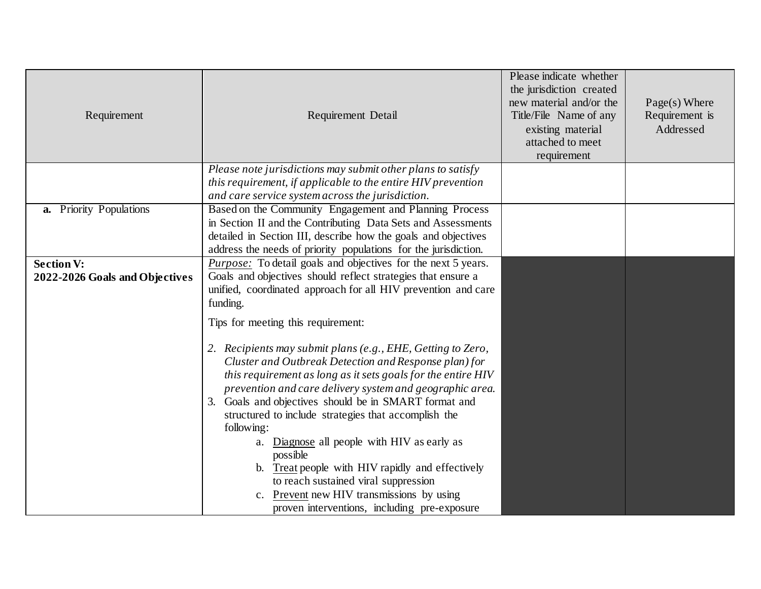| Requirement                                         | Requirement Detail                                                                                                                                                                                                                                                                                                                                                                                                                                                                                                                                                                                                                                                                  | Please indicate whether<br>the jurisdiction created<br>new material and/or the<br>Title/File Name of any<br>existing material<br>attached to meet<br>requirement | $Page(s)$ Where<br>Requirement is<br>Addressed |
|-----------------------------------------------------|-------------------------------------------------------------------------------------------------------------------------------------------------------------------------------------------------------------------------------------------------------------------------------------------------------------------------------------------------------------------------------------------------------------------------------------------------------------------------------------------------------------------------------------------------------------------------------------------------------------------------------------------------------------------------------------|------------------------------------------------------------------------------------------------------------------------------------------------------------------|------------------------------------------------|
|                                                     | Please note jurisdictions may submit other plans to satisfy<br>this requirement, if applicable to the entire HIV prevention<br>and care service system across the jurisdiction.                                                                                                                                                                                                                                                                                                                                                                                                                                                                                                     |                                                                                                                                                                  |                                                |
| a. Priority Populations                             | Based on the Community Engagement and Planning Process<br>in Section II and the Contributing Data Sets and Assessments<br>detailed in Section III, describe how the goals and objectives<br>address the needs of priority populations for the jurisdiction.                                                                                                                                                                                                                                                                                                                                                                                                                         |                                                                                                                                                                  |                                                |
| <b>Section V:</b><br>2022-2026 Goals and Objectives | <i>Purpose:</i> To detail goals and objectives for the next 5 years.<br>Goals and objectives should reflect strategies that ensure a<br>unified, coordinated approach for all HIV prevention and care<br>funding.                                                                                                                                                                                                                                                                                                                                                                                                                                                                   |                                                                                                                                                                  |                                                |
|                                                     | Tips for meeting this requirement:<br>2. Recipients may submit plans (e.g., EHE, Getting to Zero,<br>Cluster and Outbreak Detection and Response plan) for<br>this requirement as long as it sets goals for the entire HIV<br>prevention and care delivery system and geographic area.<br>3. Goals and objectives should be in SMART format and<br>structured to include strategies that accomplish the<br>following:<br>a. Diagnose all people with HIV as early as<br>possible<br>b. Treat people with HIV rapidly and effectively<br>to reach sustained viral suppression<br><b>Prevent</b> new HIV transmissions by using<br>C.<br>proven interventions, including pre-exposure |                                                                                                                                                                  |                                                |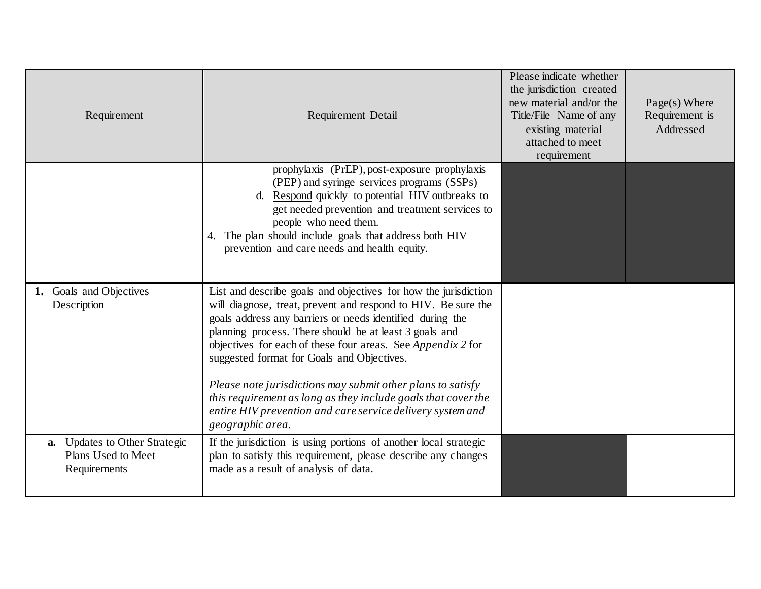| Requirement                                                         | <b>Requirement Detail</b>                                                                                                                                                                                                                                                                                                                                                                                                                                                                                                                                                                     | Please indicate whether<br>the jurisdiction created<br>new material and/or the<br>Title/File Name of any<br>existing material<br>attached to meet<br>requirement | $Page(s)$ Where<br>Requirement is<br>Addressed |
|---------------------------------------------------------------------|-----------------------------------------------------------------------------------------------------------------------------------------------------------------------------------------------------------------------------------------------------------------------------------------------------------------------------------------------------------------------------------------------------------------------------------------------------------------------------------------------------------------------------------------------------------------------------------------------|------------------------------------------------------------------------------------------------------------------------------------------------------------------|------------------------------------------------|
|                                                                     | prophylaxis (PrEP), post-exposure prophylaxis<br>(PEP) and syringe services programs (SSPs)<br>d. Respond quickly to potential HIV outbreaks to<br>get needed prevention and treatment services to<br>people who need them.<br>4. The plan should include goals that address both HIV<br>prevention and care needs and health equity.                                                                                                                                                                                                                                                         |                                                                                                                                                                  |                                                |
| 1. Goals and Objectives<br>Description                              | List and describe goals and objectives for how the jurisdiction<br>will diagnose, treat, prevent and respond to HIV. Be sure the<br>goals address any barriers or needs identified during the<br>planning process. There should be at least 3 goals and<br>objectives for each of these four areas. See <i>Appendix</i> 2 for<br>suggested format for Goals and Objectives.<br>Please note jurisdictions may submit other plans to satisfy<br>this requirement as long as they include goals that cover the<br>entire HIV prevention and care service delivery system and<br>geographic area. |                                                                                                                                                                  |                                                |
| a. Updates to Other Strategic<br>Plans Used to Meet<br>Requirements | If the jurisdiction is using portions of another local strategic<br>plan to satisfy this requirement, please describe any changes<br>made as a result of analysis of data.                                                                                                                                                                                                                                                                                                                                                                                                                    |                                                                                                                                                                  |                                                |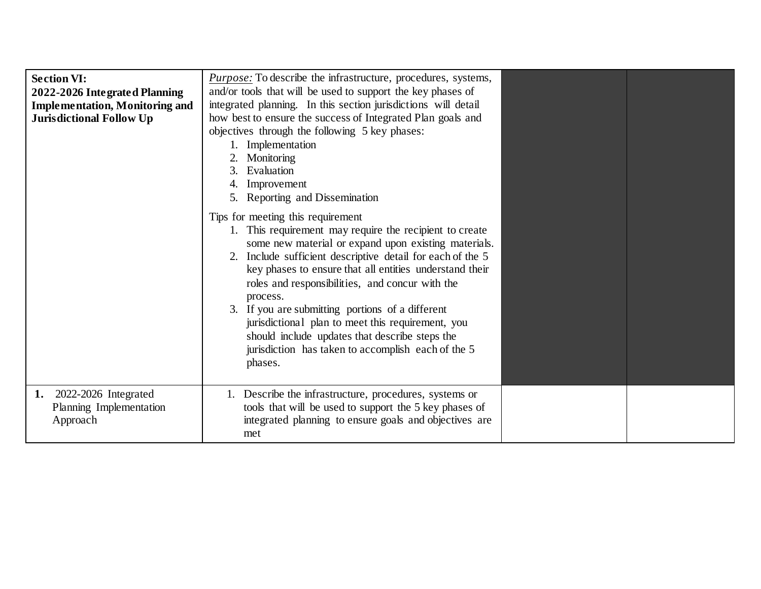| <b>Section VI:</b><br>2022-2026 Integrated Planning<br><b>Implementation, Monitoring and</b><br><b>Jurisdictional Follow Up</b> | <i>Purpose:</i> To describe the infrastructure, procedures, systems,<br>and/or tools that will be used to support the key phases of<br>integrated planning. In this section jurisdictions will detail<br>how best to ensure the success of Integrated Plan goals and<br>objectives through the following 5 key phases:<br>1. Implementation<br>Monitoring<br>3. Evaluation<br>4. Improvement<br>5. Reporting and Dissemination<br>Tips for meeting this requirement<br>1. This requirement may require the recipient to create<br>some new material or expand upon existing materials.<br>2. Include sufficient descriptive detail for each of the 5<br>key phases to ensure that all entities understand their<br>roles and responsibilities, and concur with the<br>process.<br>3. If you are submitting portions of a different<br>jurisdictional plan to meet this requirement, you<br>should include updates that describe steps the<br>jurisdiction has taken to accomplish each of the 5 |  |
|---------------------------------------------------------------------------------------------------------------------------------|-------------------------------------------------------------------------------------------------------------------------------------------------------------------------------------------------------------------------------------------------------------------------------------------------------------------------------------------------------------------------------------------------------------------------------------------------------------------------------------------------------------------------------------------------------------------------------------------------------------------------------------------------------------------------------------------------------------------------------------------------------------------------------------------------------------------------------------------------------------------------------------------------------------------------------------------------------------------------------------------------|--|
|                                                                                                                                 | phases.                                                                                                                                                                                                                                                                                                                                                                                                                                                                                                                                                                                                                                                                                                                                                                                                                                                                                                                                                                                         |  |
| 2022-2026 Integrated<br>1.<br>Planning Implementation<br>Approach                                                               | Describe the infrastructure, procedures, systems or<br>tools that will be used to support the 5 key phases of<br>integrated planning to ensure goals and objectives are<br>met                                                                                                                                                                                                                                                                                                                                                                                                                                                                                                                                                                                                                                                                                                                                                                                                                  |  |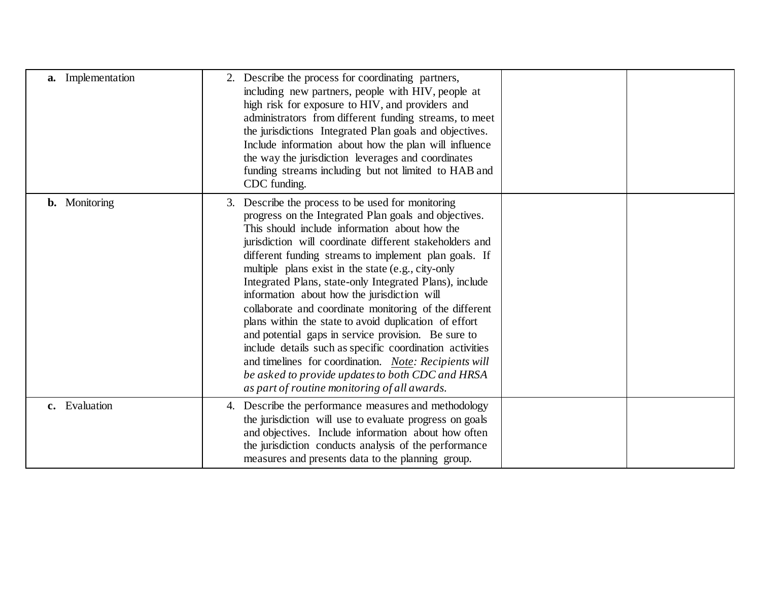| a. Implementation    | 2. Describe the process for coordinating partners,<br>including new partners, people with HIV, people at<br>high risk for exposure to HIV, and providers and<br>administrators from different funding streams, to meet<br>the jurisdictions Integrated Plan goals and objectives.<br>Include information about how the plan will influence<br>the way the jurisdiction leverages and coordinates<br>funding streams including but not limited to HAB and<br>CDC funding.                                                                                                                                                                                                                                                                                                                                                                           |
|----------------------|----------------------------------------------------------------------------------------------------------------------------------------------------------------------------------------------------------------------------------------------------------------------------------------------------------------------------------------------------------------------------------------------------------------------------------------------------------------------------------------------------------------------------------------------------------------------------------------------------------------------------------------------------------------------------------------------------------------------------------------------------------------------------------------------------------------------------------------------------|
| <b>b.</b> Monitoring | 3. Describe the process to be used for monitoring<br>progress on the Integrated Plan goals and objectives.<br>This should include information about how the<br>jurisdiction will coordinate different stakeholders and<br>different funding streams to implement plan goals. If<br>multiple plans exist in the state (e.g., city-only<br>Integrated Plans, state-only Integrated Plans), include<br>information about how the jurisdiction will<br>collaborate and coordinate monitoring of the different<br>plans within the state to avoid duplication of effort<br>and potential gaps in service provision. Be sure to<br>include details such as specific coordination activities<br>and timelines for coordination. Note: Recipients will<br>be asked to provide updates to both CDC and HRSA<br>as part of routine monitoring of all awards. |
| c. Evaluation        | 4. Describe the performance measures and methodology<br>the jurisdiction will use to evaluate progress on goals<br>and objectives. Include information about how often<br>the jurisdiction conducts analysis of the performance<br>measures and presents data to the planning group.                                                                                                                                                                                                                                                                                                                                                                                                                                                                                                                                                               |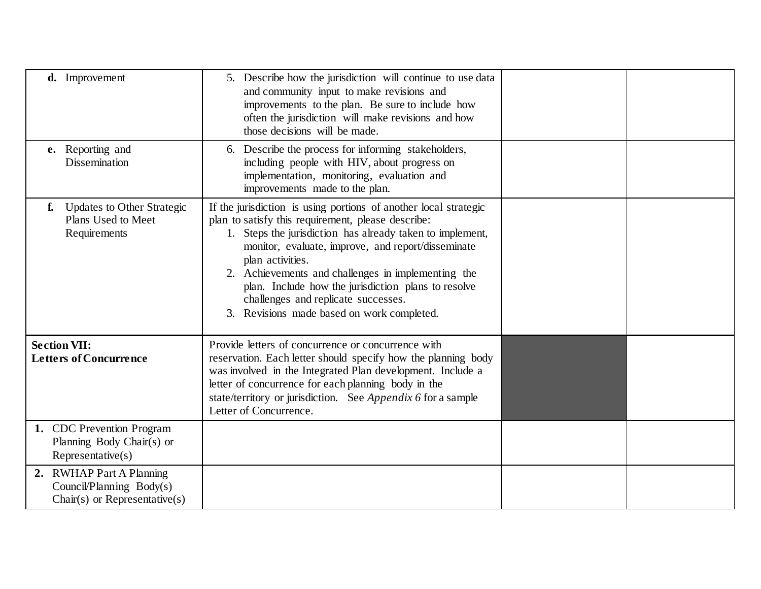| d. Improvement                                                                             | 5. Describe how the jurisdiction will continue to use data<br>and community input to make revisions and<br>improvements to the plan. Be sure to include how<br>often the jurisdiction will make revisions and how<br>those decisions will be made.                                                                                                                                                                                                              |  |
|--------------------------------------------------------------------------------------------|-----------------------------------------------------------------------------------------------------------------------------------------------------------------------------------------------------------------------------------------------------------------------------------------------------------------------------------------------------------------------------------------------------------------------------------------------------------------|--|
| e. Reporting and<br>Dissemination                                                          | 6. Describe the process for informing stakeholders,<br>including people with HIV, about progress on<br>implementation, monitoring, evaluation and<br>improvements made to the plan.                                                                                                                                                                                                                                                                             |  |
| <b>Updates to Other Strategic</b><br>f.<br>Plans Used to Meet<br>Requirements              | If the jurisdiction is using portions of another local strategic<br>plan to satisfy this requirement, please describe:<br>1. Steps the jurisdiction has already taken to implement,<br>monitor, evaluate, improve, and report/disseminate<br>plan activities.<br>2. Achievements and challenges in implementing the<br>plan. Include how the jurisdiction plans to resolve<br>challenges and replicate successes.<br>3. Revisions made based on work completed. |  |
| <b>Section VII:</b><br><b>Letters of Concurrence</b>                                       | Provide letters of concurrence or concurrence with<br>reservation. Each letter should specify how the planning body<br>was involved in the Integrated Plan development. Include a<br>letter of concurrence for each planning body in the<br>state/territory or jurisdiction. See Appendix 6 for a sample<br>Letter of Concurrence.                                                                                                                              |  |
| 1. CDC Prevention Program<br>Planning Body Chair(s) or<br>Representative(s)                |                                                                                                                                                                                                                                                                                                                                                                                                                                                                 |  |
| 2. RWHAP Part A Planning<br>Council/Planning Body(s)<br>$Chair(s)$ or Representative $(s)$ |                                                                                                                                                                                                                                                                                                                                                                                                                                                                 |  |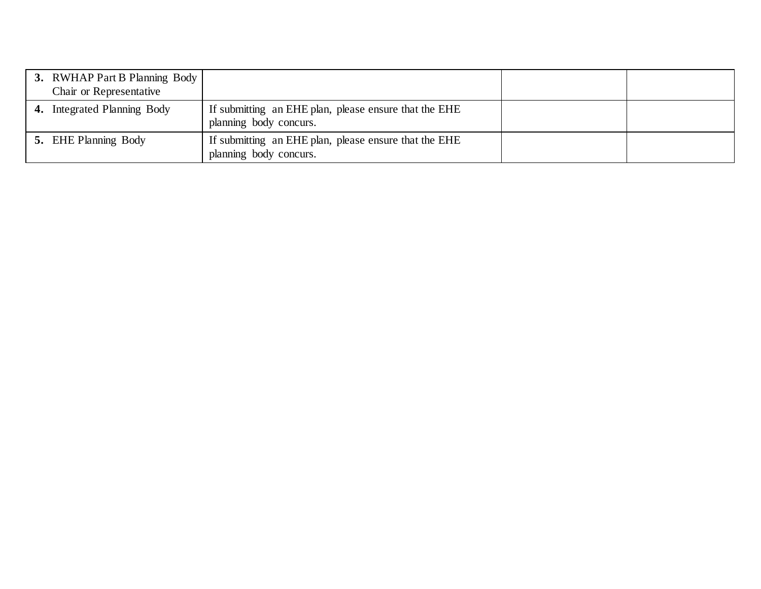| <b>3.</b> RWHAP Part B Planning Body<br>Chair or Representative |                                                                                 |  |
|-----------------------------------------------------------------|---------------------------------------------------------------------------------|--|
| 4. Integrated Planning Body                                     | If submitting an EHE plan, please ensure that the EHE<br>planning body concurs. |  |
| <b>5.</b> EHE Planning Body                                     | If submitting an EHE plan, please ensure that the EHE<br>planning body concurs. |  |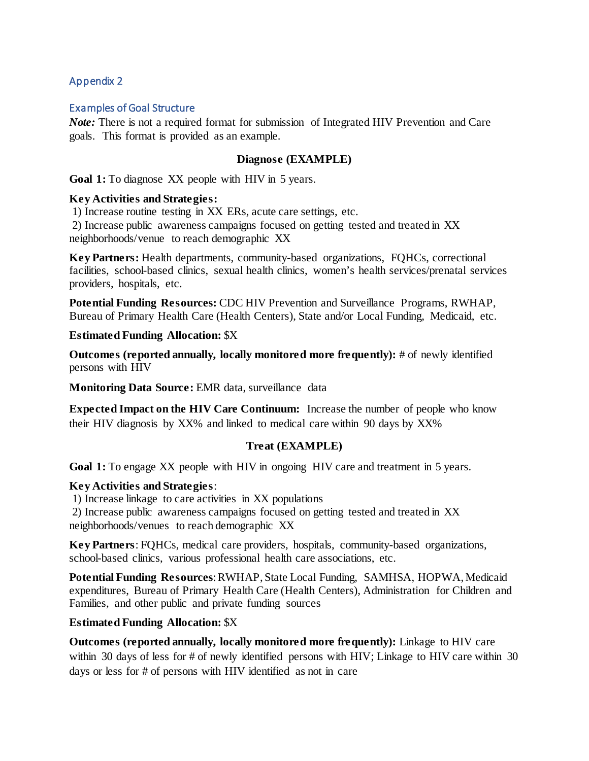#### Examples of Goal Structure

*Note:* There is not a required format for submission of Integrated HIV Prevention and Care goals. This format is provided as an example.

#### **Diagnose (EXAMPLE)**

Goal 1: To diagnose XX people with HIV in 5 years.

#### **Key Activities and Strategies:**

1) Increase routine testing in XX ERs, acute care settings, etc.

2) Increase public awareness campaigns focused on getting tested and treated in XX neighborhoods/venue to reach demographic XX

**Key Partners:** Health departments, community-based organizations, FQHCs, correctional facilities, school-based clinics, sexual health clinics, women's health services/prenatal services providers, hospitals, etc.

**Potential Funding Resources:** CDC HIV Prevention and Surveillance Programs, RWHAP, Bureau of Primary Health Care (Health Centers), State and/or Local Funding, Medicaid, etc.

**Estimated Funding Allocation:** \$X

**Outcomes (reported annually, locally monitored more frequently):** # of newly identified persons with HIV

**Monitoring Data Source:** EMR data, surveillance data

**Expected Impact on the HIV Care Continuum:** Increase the number of people who know their HIV diagnosis by XX% and linked to medical care within 90 days by XX%

#### **Treat (EXAMPLE)**

**Goal 1:** To engage XX people with HIV in ongoing HIV care and treatment in 5 years.

#### **Key Activities and Strategies**:

1) Increase linkage to care activities in XX populations

2) Increase public awareness campaigns focused on getting tested and treated in XX neighborhoods/venues to reach demographic XX

**Key Partners**: FQHCs, medical care providers, hospitals, community-based organizations, school-based clinics, various professional health care associations, etc.

**Potential Funding Resources**: RWHAP, State Local Funding, SAMHSA, HOPWA, Medicaid expenditures, Bureau of Primary Health Care (Health Centers), Administration for Children and Families, and other public and private funding sources

#### **Estimated Funding Allocation:** \$X

**Outcomes (reported annually, locally monitored more frequently):** Linkage to HIV care within 30 days of less for # of newly identified persons with HIV; Linkage to HIV care within 30 days or less for # of persons with HIV identified as not in care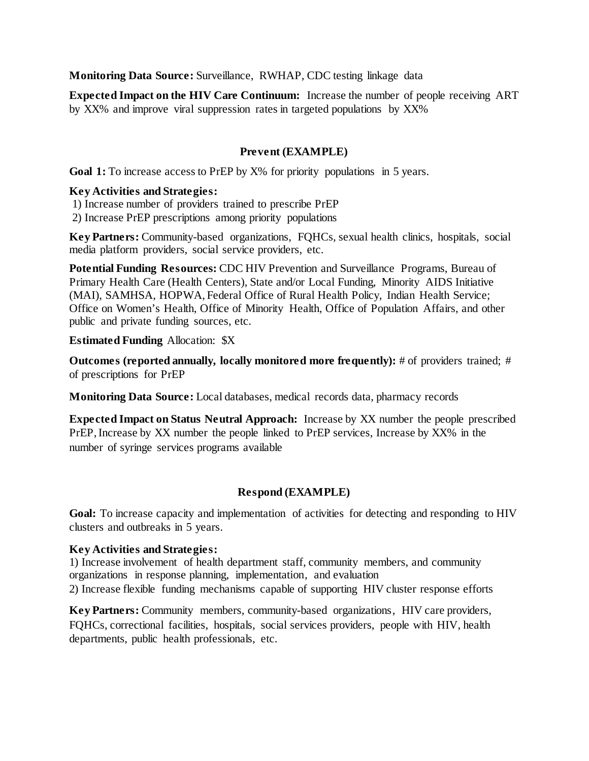**Monitoring Data Source:** Surveillance, RWHAP, CDC testing linkage data

**Expected Impact on the HIV Care Continuum:** Increase the number of people receiving ART by XX% and improve viral suppression rates in targeted populations by XX%

# **Prevent (EXAMPLE)**

Goal 1: To increase access to PrEP by X% for priority populations in 5 years.

#### **Key Activities and Strategies:**

1) Increase number of providers trained to prescribe PrEP

2) Increase PrEP prescriptions among priority populations

**Key Partners:** Community-based organizations, FQHCs, sexual health clinics, hospitals, social media platform providers, social service providers, etc.

**Potential Funding Resources:** CDC HIV Prevention and Surveillance Programs, Bureau of Primary Health Care (Health Centers), State and/or Local Funding, Minority AIDS Initiative (MAI), SAMHSA, HOPWA, Federal Office of Rural Health Policy, Indian Health Service; Office on Women's Health, Office of Minority Health, Office of Population Affairs, and other public and private funding sources, etc.

#### **Estimated Funding** Allocation: \$X

**Outcomes (reported annually, locally monitored more frequently):** # of providers trained; # of prescriptions for PrEP

**Monitoring Data Source:** Local databases, medical records data, pharmacy records

**Expected Impact on Status Neutral Approach:** Increase by XX number the people prescribed PrEP, Increase by XX number the people linked to PrEP services, Increase by XX% in the number of syringe services programs available

# **Respond (EXAMPLE)**

**Goal:** To increase capacity and implementation of activities for detecting and responding to HIV clusters and outbreaks in 5 years.

# **Key Activities and Strategies:**

1) Increase involvement of health department staff, community members, and community organizations in response planning, implementation, and evaluation 2) Increase flexible funding mechanisms capable of supporting HIV cluster response efforts

**Key Partners:** Community members, community-based organizations, HIV care providers, FQHCs, correctional facilities, hospitals, social services providers, people with HIV, health departments, public health professionals, etc.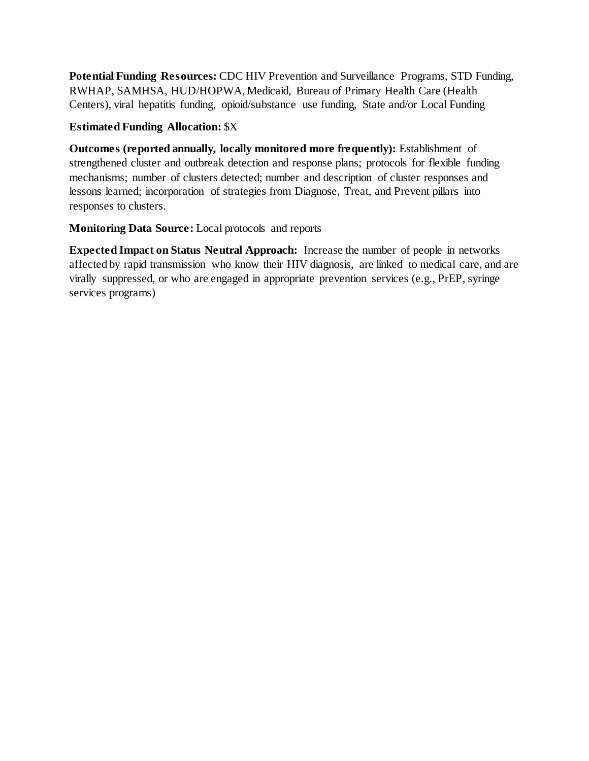**Potential Funding Resources:** CDC HIV Prevention and Surveillance Programs, STD Funding, RWHAP, SAMHSA, HUD/HOPWA, Medicaid, Bureau of Primary Health Care (Health Centers), viral hepatitis funding, opioid/substance use funding, State and/or Local Funding

# **Estimated Funding Allocation:** \$X

**Outcomes (reported annually, locally monitored more frequently):** Establishment of strengthened cluster and outbreak detection and response plans; protocols for flexible funding mechanisms; number of clusters detected; number and description of cluster responses and lessons learned; incorporation of strategies from Diagnose, Treat, and Prevent pillars into responses to clusters.

# **Monitoring Data Source:** Local protocols and reports

**Expected Impact on Status Neutral Approach:** Increase the number of people in networks affected by rapid transmission who know their HIV diagnosis, are linked to medical care, and are virally suppressed, or who are engaged in appropriate prevention services (e.g., PrEP, syringe services programs)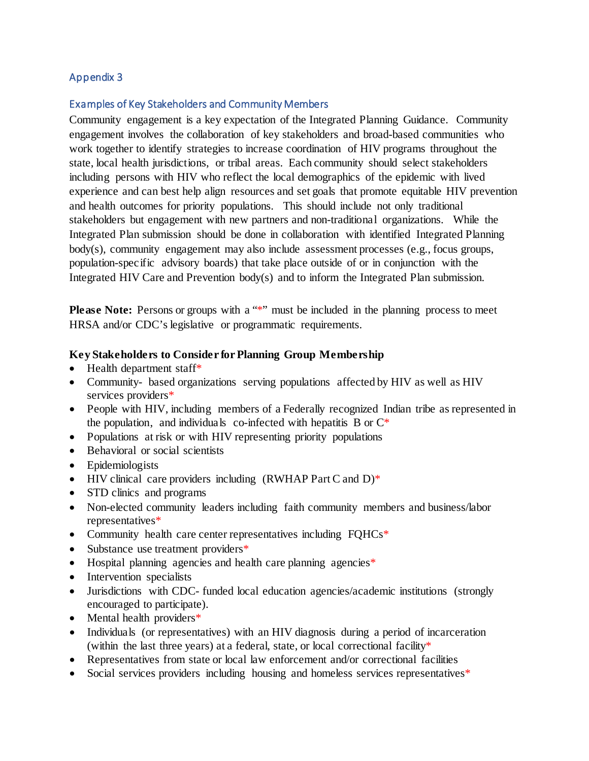#### Examples of Key Stakeholders and Community Members

Community engagement is a key expectation of the Integrated Planning Guidance. Community engagement involves the collaboration of key stakeholders and broad-based communities who work together to identify strategies to increase coordination of HIV programs throughout the state, local health jurisdictions, or tribal areas. Each community should select stakeholders including persons with HIV who reflect the local demographics of the epidemic with lived experience and can best help align resources and set goals that promote equitable HIV prevention and health outcomes for priority populations. This should include not only traditional stakeholders but engagement with new partners and non-traditional organizations. While the Integrated Plan submission should be done in collaboration with identified Integrated Planning body(s), community engagement may also include assessment processes (e.g., focus groups, population-specific advisory boards) that take place outside of or in conjunction with the Integrated HIV Care and Prevention body(s) and to inform the Integrated Plan submission.

**Please Note:** Persons or groups with a "\*" must be included in the planning process to meet HRSA and/or CDC's legislative or programmatic requirements.

#### **Key Stakeholders to Consider for Planning Group Membership**

- Health department staff\*
- Community- based organizations serving populations affected by HIV as well as HIV services providers\*
- People with HIV, including members of a Federally recognized Indian tribe as represented in the population, and individuals co-infected with hepatitis B or  $C^*$
- Populations at risk or with HIV representing priority populations
- Behavioral or social scientists
- Epidemiologists
- HIV clinical care providers including  $(RWHAP$  Part C and D)\*
- STD clinics and programs
- Non-elected community leaders including faith community members and business/labor representatives\*
- Community health care center representatives including FQHCs<sup>\*</sup>
- Substance use treatment providers\*
- Hospital planning agencies and health care planning agencies<sup>\*</sup>
- Intervention specialists
- Jurisdictions with CDC- funded local education agencies/academic institutions (strongly encouraged to participate).
- Mental health providers\*
- Individuals (or representatives) with an HIV diagnosis during a period of incarceration (within the last three years) at a federal, state, or local correctional facility\*
- Representatives from state or local law enforcement and/or correctional facilities
- Social services providers including housing and homeless services representatives<sup>\*</sup>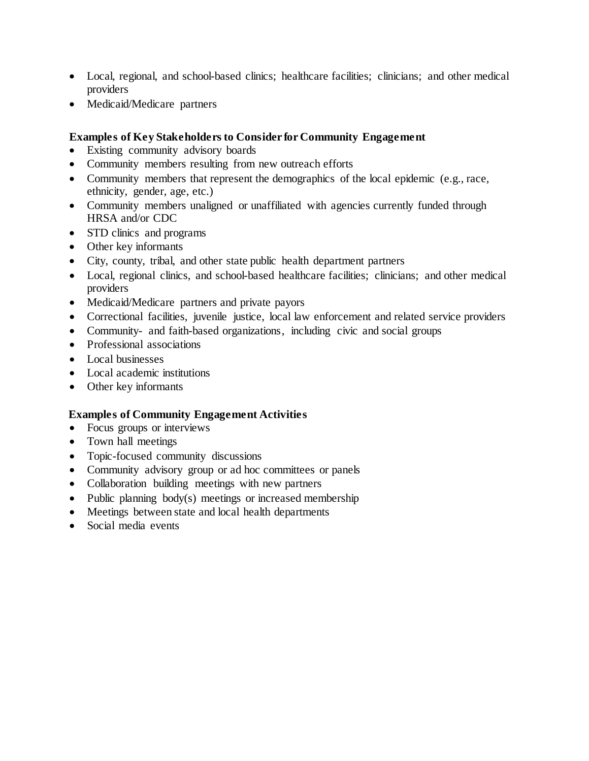- Local, regional, and school-based clinics; healthcare facilities; clinicians; and other medical providers
- Medicaid/Medicare partners

# **Examples of Key Stakeholders to Consider for Community Engagement**

- Existing community advisory boards
- Community members resulting from new outreach efforts
- Community members that represent the demographics of the local epidemic (e.g., race, ethnicity, gender, age, etc.)
- Community members unaligned or unaffiliated with agencies currently funded through HRSA and/or CDC
- STD clinics and programs
- Other key informants
- City, county, tribal, and other state public health department partners
- Local, regional clinics, and school-based healthcare facilities; clinicians; and other medical providers
- Medicaid/Medicare partners and private payors
- Correctional facilities, juvenile justice, local law enforcement and related service providers
- Community- and faith-based organizations, including civic and social groups
- Professional associations
- Local businesses
- Local academic institutions
- Other key informants

#### **Examples of Community Engagement Activities**

- Focus groups or interviews
- Town hall meetings
- Topic-focused community discussions
- Community advisory group or ad hoc committees or panels
- Collaboration building meetings with new partners
- Public planning body(s) meetings or increased membership
- Meetings between state and local health departments
- Social media events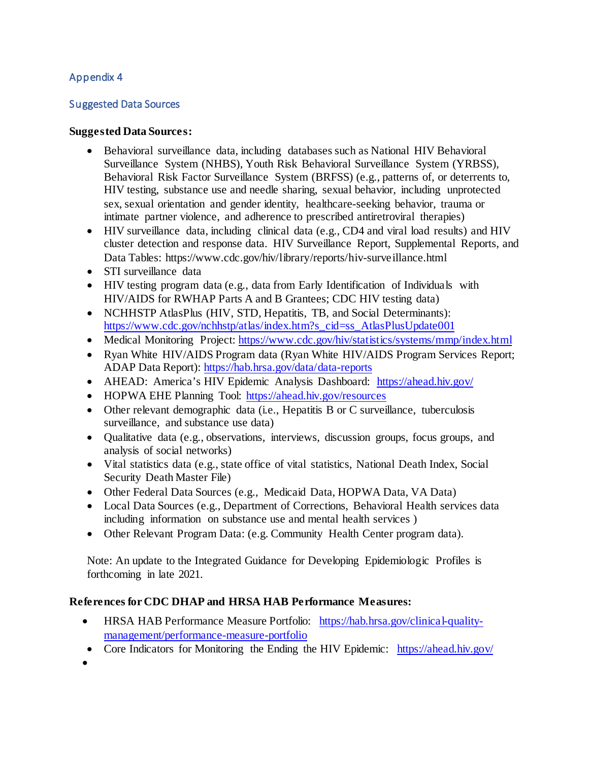## Suggested Data Sources

#### **Suggested Data Sources:**

- Behavioral surveillance data, including databases such as National HIV Behavioral Surveillance System (NHBS), Youth Risk Behavioral Surveillance System (YRBSS), Behavioral Risk Factor Surveillance System (BRFSS) (e.g., patterns of, or deterrents to, HIV testing, substance use and needle sharing, sexual behavior, including unprotected sex, sexual orientation and gender identity, healthcare-seeking behavior, trauma or intimate partner violence, and adherence to prescribed antiretroviral therapies)
- HIV surveillance data, including clinical data (e.g., CD4 and viral load results) and HIV cluster detection and response data. HIV Surveillance Report, Supplemental Reports, and Data Tables: https://www.cdc.gov/hiv/library/reports/hiv-surveillance.html
- STI surveillance data
- HIV testing program data (e.g., data from Early Identification of Individuals with HIV/AIDS for RWHAP Parts A and B Grantees; CDC HIV testing data)
- NCHHSTP AtlasPlus (HIV, STD, Hepatitis, TB, and Social Determinants): [https://www.cdc.gov/nchhstp/atlas/index.htm?s\\_cid=ss\\_AtlasPlusUpdate001](https://www.cdc.gov/nchhstp/atlas/index.htm?s_cid=ss_AtlasPlusUpdate001)
- Medical Monitoring Project:<https://www.cdc.gov/hiv/statistics/systems/mmp/index.html>
- Ryan White HIV/AIDS Program data (Ryan White HIV/AIDS Program Services Report; ADAP Data Report):<https://hab.hrsa.gov/data/data-reports>
- AHEAD: America's HIV Epidemic Analysis Dashboard: https://ahead.hiv.gov/
- HOPWA EHE Planning Tool: https://ahead.hiv.gov/resources
- Other relevant demographic data (i.e., Hepatitis B or C surveillance, tuberculosis surveillance, and substance use data)
- Qualitative data (e.g., observations, interviews, discussion groups, focus groups, and analysis of social networks)
- Vital statistics data (e.g., state office of vital statistics, National Death Index, Social Security Death Master File)
- Other Federal Data Sources (e.g., Medicaid Data, HOPWA Data, VA Data)
- Local Data Sources (e.g., Department of Corrections, Behavioral Health services data including information on substance use and mental health services )
- Other Relevant Program Data: (e.g. Community Health Center program data).

Note: An update to the Integrated Guidance for Developing Epidemiologic Profiles is forthcoming in late 2021.

# **References for CDC DHAP and HRSA HAB Performance Measures:**

- HRSA HAB Performance Measure Portfolio: [https://hab.hrsa.gov/clinical-quality](https://hab.hrsa.gov/clinical-quality-management/performance-measure-portfolio)[management/performance-measure-portfolio](https://hab.hrsa.gov/clinical-quality-management/performance-measure-portfolio)
- Core Indicators for Monitoring the Ending the HIV Epidemic: https://ahead.hiv.gov/
- •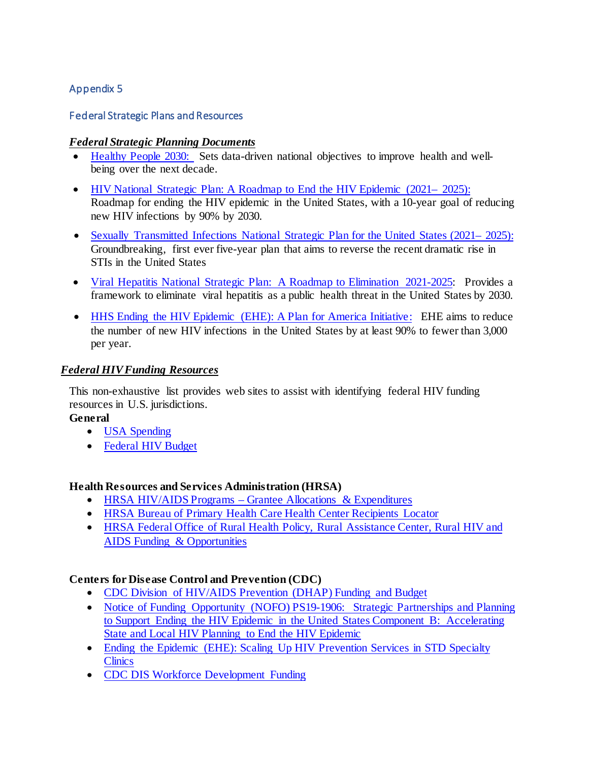#### Federal Strategic Plans and Resources

#### *Federal Strategic Planning Documents*

- [Healthy People 2030:](https://health.gov/healthypeople) Sets data-driven national objectives to improve health and wellbeing over the next decade.
- [HIV National Strategic Plan: A Roadmap to](https://www.hiv.gov/federal-response/hiv-national-strategic-plan/hiv-plan-2021-2025) End the HIV Epidemic (2021–2025): Roadmap for ending the HIV epidemic in the United States, with a 10-year goal of reducing new HIV infections by 90% by 2030.
- Sexually Transmitted Infections National Strategic Plan for the United States (2021–2025): Groundbreaking, first ever five-year plan that aims to reverse the recent dramatic rise in STIs in the United States
- [Viral Hepatitis National Strategic Plan: A Roadmap to Elimination 2021-2025:](https://www.hhs.gov/hepatitis/viral-hepatitis-national-strategic-plan/national-viral-hepatitis-action-plan-overview/index.html) Provides a framework to eliminate viral hepatitis as a public health threat in the United States by 2030.
- [HHS Ending the HIV Epidemic \(EHE\): A Plan for America Initiative:](https://www.hiv.gov/federal-response/ending-the-hiv-epidemic/overview) EHE aims to reduce the number of new HIV infections in the United States by at least 90% to fewer than 3,000 per year.

# *Federal HIV Funding Resources*

This non-exhaustive list provides web sites to assist with identifying federal HIV funding resources in U.S. jurisdictions.

#### **General**

- [USA Spending](https://www.usaspending.gov/search)
- [Federal HIV Budget](https://www.hiv.gov/federal-response/funding/budget)

# **Health Resources and Services Administration (HRSA)**

- HRSA HIV/AIDS Programs Grantee Allocations & Expenditures
- [HRSA Bureau of Primary Health Care Health Center Recipients Locator](https://data.hrsa.gov/tools/data-reporting/program-data?type=AWARDEE)
- HRSA [Federal Office of Rural Health Policy, Rural Assistance Center, Rural HIV and](https://www.ruralhealthinfo.org/search?q=hiv&s=Funding)  [AIDS Funding & Opportunities](https://www.ruralhealthinfo.org/search?q=hiv&s=Funding)

# **Centers for Disease Control and Prevention (CDC)**

- [CDC Division of HIV/AIDS Prevention \(DHAP\) Funding and Budget](https://www.cdc.gov/hiv/funding/index.html)
- Notice of Funding Opportunity (NOFO) PS19-1906: Strategic Partnerships and Planning to Support Ending the HIV Epidemic in the United States Component B: Accelerating State and Local HIV Planning to End the HIV Epidemic
- Ending the Epidemic (EHE): Scaling Up HIV Prevention Services in STD Specialty **[Clinics](https://www.cdc.gov/std/projects/ehe/default.htm)**
- [CDC DIS Workforce Development Funding](https://www.cdc.gov/std/funding/pchd/development-funding.html)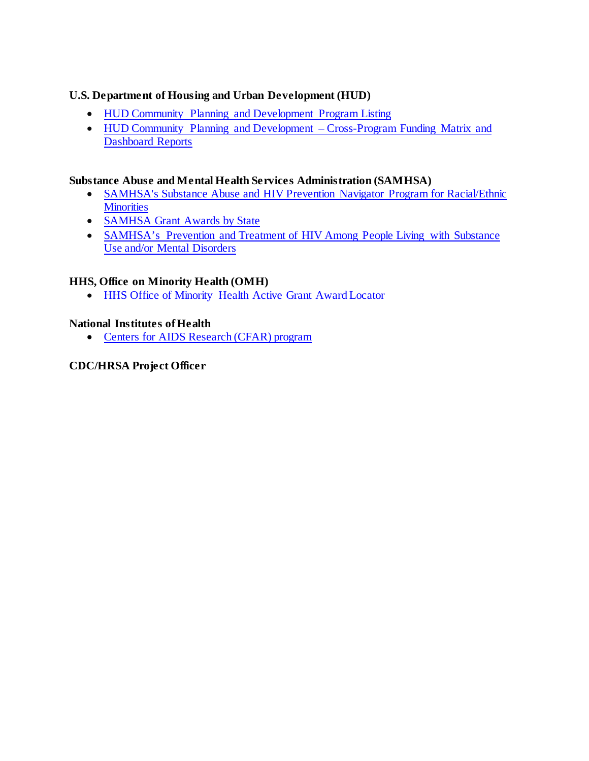# **U.S. Department of Housing and Urban Development (HUD)**

- [HUD Community Planning and Development Program Listing](https://www.hud.gov/program_offices/comm_planning)
- HUD Community Planning and Development Cross-Program Funding Matrix and [Dashboard Reports](https://www.hudexchange.info/programs/cpd-cross-program-funding-matrix-and-dashboard-reports/)

# **Substance Abuse and Mental Health Services Administration (SAMHSA)**

- [SAMHSA's Substance Abuse and HIV Prevention Navigator](https://www.samhsa.gov/grants/awards/2020/SP-20-001) Program for Racial/Ethnic **[Minorities](https://www.samhsa.gov/grants/awards/2020/SP-20-001)**
- SAMHSA [Grant Awards by State](https://www.samhsa.gov/grants-awards-by-state)
- SAMHSA's Prevention and Treatment of HIV Among People Living with Substance [Use and/or Mental Disorders](https://www.samhsa.gov/resource/ebp/prevention-treatment-hiv-among-people-living-substance-use-andor-mental-disorders)

# **HHS, Office on Minority Health (OMH)**

• HHS Office of Minority Health Active Grant Award Locator

#### **National Institutes of Health**

• [Centers for AIDS Research \(CFAR\)](https://www.niaid.nih.gov/research/centers-aids-research) program

# **CDC/HRSA Project Officer**